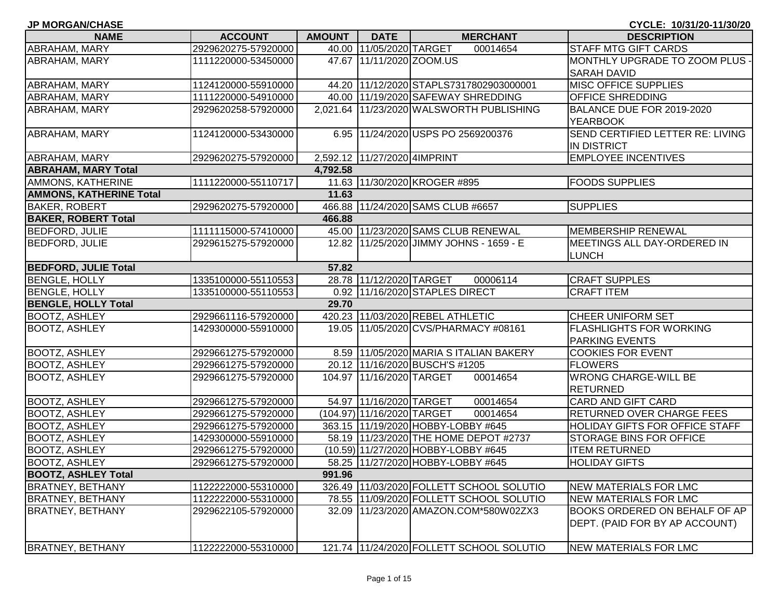| <b>JP MORGAN/CHASE</b>         |                     |               |                              |                                              | CYCLE: 10/31/20-11/30/20              |
|--------------------------------|---------------------|---------------|------------------------------|----------------------------------------------|---------------------------------------|
| <b>NAME</b>                    | <b>ACCOUNT</b>      | <b>AMOUNT</b> | <b>DATE</b>                  | <b>MERCHANT</b>                              | <b>DESCRIPTION</b>                    |
| <b>ABRAHAM, MARY</b>           | 2929620275-57920000 |               | 40.00 11/05/2020 TARGET      | 00014654                                     | <b>STAFF MTG GIFT CARDS</b>           |
| <b>ABRAHAM, MARY</b>           | 1111220000-53450000 |               | 47.67 11/11/2020 ZOOM.US     |                                              | MONTHLY UPGRADE TO ZOOM PLUS -        |
|                                |                     |               |                              |                                              | <b>SARAH DAVID</b>                    |
| <b>ABRAHAM, MARY</b>           | 1124120000-55910000 |               |                              | 44.20 11/12/2020 STAPLS7317802903000001      | <b>MISC OFFICE SUPPLIES</b>           |
| <b>ABRAHAM, MARY</b>           | 1111220000-54910000 |               |                              | 40.00 11/19/2020 SAFEWAY SHREDDING           | <b>OFFICE SHREDDING</b>               |
| <b>ABRAHAM, MARY</b>           | 2929620258-57920000 |               |                              | 2,021.64 11/23/2020 WALSWORTH PUBLISHING     | BALANCE DUE FOR 2019-2020             |
|                                |                     |               |                              |                                              | <b>YEARBOOK</b>                       |
| ABRAHAM, MARY                  | 1124120000-53430000 |               |                              | 6.95 11/24/2020 USPS PO 2569200376           | SEND CERTIFIED LETTER RE: LIVING      |
|                                |                     |               |                              |                                              | <b>IN DISTRICT</b>                    |
| <b>ABRAHAM, MARY</b>           | 2929620275-57920000 |               | 2,592.12 11/27/2020 4IMPRINT |                                              | <b>EMPLOYEE INCENTIVES</b>            |
| <b>ABRAHAM, MARY Total</b>     |                     | 4,792.58      |                              |                                              |                                       |
| AMMONS, KATHERINE              | 1111220000-55110717 |               |                              | 11.63 11/30/2020 KROGER #895                 | <b>FOODS SUPPLIES</b>                 |
| <b>AMMONS, KATHERINE Total</b> |                     | 11.63         |                              |                                              |                                       |
| <b>BAKER, ROBERT</b>           | 2929620275-57920000 |               |                              | 466.88 11/24/2020 SAMS CLUB #6657            | <b>SUPPLIES</b>                       |
| <b>BAKER, ROBERT Total</b>     |                     | 466.88        |                              |                                              |                                       |
| <b>BEDFORD, JULIE</b>          | 1111115000-57410000 |               |                              | 45.00 11/23/2020 SAMS CLUB RENEWAL           | <b>MEMBERSHIP RENEWAL</b>             |
| <b>BEDFORD, JULIE</b>          | 2929615275-57920000 |               |                              | 12.82 11/25/2020 JIMMY JOHNS - 1659 - E      | MEETINGS ALL DAY-ORDERED IN           |
|                                |                     |               |                              |                                              | <b>LUNCH</b>                          |
| <b>BEDFORD, JULIE Total</b>    |                     | 57.82         |                              |                                              |                                       |
| <b>BENGLE, HOLLY</b>           | 1335100000-55110553 |               | 28.78 11/12/2020 TARGET      | 00006114                                     | <b>CRAFT SUPPLES</b>                  |
| <b>BENGLE, HOLLY</b>           | 1335100000-55110553 |               |                              | 0.92 11/16/2020 STAPLES DIRECT               | <b>CRAFT ITEM</b>                     |
| <b>BENGLE, HOLLY Total</b>     |                     | 29.70         |                              |                                              |                                       |
| <b>BOOTZ, ASHLEY</b>           | 2929661116-57920000 |               |                              | 420.23 11/03/2020 REBEL ATHLETIC             | <b>CHEER UNIFORM SET</b>              |
| <b>BOOTZ, ASHLEY</b>           | 1429300000-55910000 |               |                              | 19.05 11/05/2020 CVS/PHARMACY #08161         | <b>FLASHLIGHTS FOR WORKING</b>        |
|                                |                     |               |                              |                                              | <b>PARKING EVENTS</b>                 |
| <b>BOOTZ, ASHLEY</b>           | 2929661275-57920000 |               |                              | 8.59 11/05/2020 MARIA S ITALIAN BAKERY       | <b>COOKIES FOR EVENT</b>              |
| <b>BOOTZ, ASHLEY</b>           | 2929661275-57920000 |               |                              | 20.12 11/16/2020 BUSCH'S #1205               | <b>FLOWERS</b>                        |
| <b>BOOTZ, ASHLEY</b>           | 2929661275-57920000 |               | 104.97 11/16/2020 TARGET     | 00014654                                     | <b>WRONG CHARGE-WILL BE</b>           |
|                                |                     |               |                              |                                              | <b>RETURNED</b>                       |
| <b>BOOTZ, ASHLEY</b>           | 2929661275-57920000 |               | 54.97 11/16/2020 TARGET      | 00014654                                     | <b>CARD AND GIFT CARD</b>             |
| <b>BOOTZ, ASHLEY</b>           | 2929661275-57920000 |               | (104.97) 11/16/2020 TARGET   | 00014654                                     | <b>RETURNED OVER CHARGE FEES</b>      |
| <b>BOOTZ, ASHLEY</b>           | 2929661275-57920000 |               |                              | 363.15 11/19/2020 HOBBY-LOBBY #645           | <b>HOLIDAY GIFTS FOR OFFICE STAFF</b> |
| <b>BOOTZ, ASHLEY</b>           | 1429300000-55910000 |               |                              | 58.19 11/23/2020 THE HOME DEPOT #2737        | <b>STORAGE BINS FOR OFFICE</b>        |
| <b>BOOTZ, ASHLEY</b>           | 2929661275-57920000 |               |                              | (10.59) 11/27/2020 HOBBY-LOBBY #645          | <b>ITEM RETURNED</b>                  |
| <b>BOOTZ, ASHLEY</b>           | 2929661275-57920000 |               |                              | 58.25 11/27/2020 HOBBY-LOBBY #645            | <b>HOLIDAY GIFTS</b>                  |
| <b>BOOTZ, ASHLEY Total</b>     |                     | 991.96        |                              |                                              |                                       |
| <b>BRATNEY, BETHANY</b>        | 1122222000-55310000 |               |                              | 326.49 11/03/2020 FOLLETT SCHOOL SOLUTIO     | <b>NEW MATERIALS FOR LMC</b>          |
| <b>BRATNEY, BETHANY</b>        | 1122222000-55310000 |               |                              | 78.55 11/09/2020 FOLLETT SCHOOL SOLUTIO      | <b>NEW MATERIALS FOR LMC</b>          |
| <b>BRATNEY, BETHANY</b>        | 2929622105-57920000 |               |                              | 32.09   11/23/2020   AMAZON.COM*580W02ZX3    | <b>BOOKS ORDERED ON BEHALF OF AP</b>  |
|                                |                     |               |                              |                                              | DEPT. (PAID FOR BY AP ACCOUNT)        |
|                                |                     |               |                              |                                              |                                       |
| <b>BRATNEY, BETHANY</b>        | 1122222000-55310000 |               |                              | 121.74   11/24/2020   FOLLETT SCHOOL SOLUTIO | <b>NEW MATERIALS FOR LMC</b>          |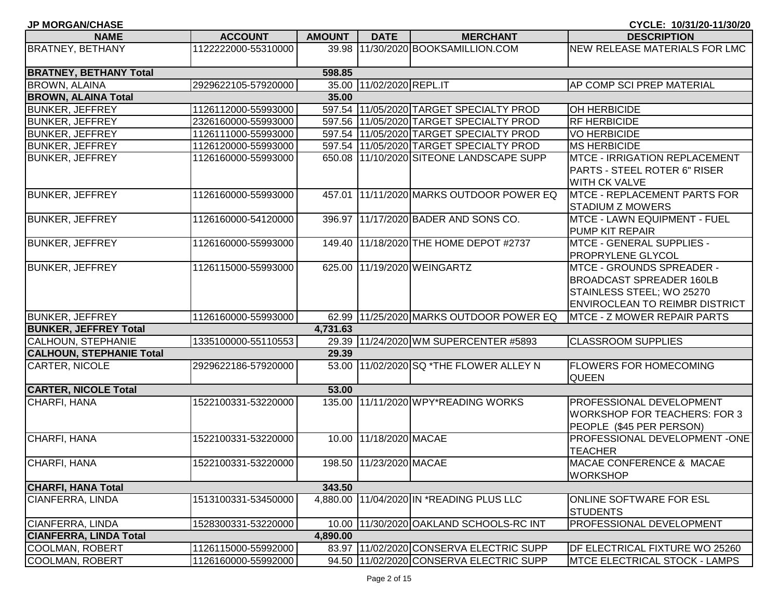| <b>JP MORGAN/CHASE</b>          |                     |               |                          |                                          | CYCLE: 10/31/20-11/30/20                                                                                                                  |
|---------------------------------|---------------------|---------------|--------------------------|------------------------------------------|-------------------------------------------------------------------------------------------------------------------------------------------|
| <b>NAME</b>                     | <b>ACCOUNT</b>      | <b>AMOUNT</b> | <b>DATE</b>              | <b>MERCHANT</b>                          | <b>DESCRIPTION</b>                                                                                                                        |
| <b>BRATNEY, BETHANY</b>         | 1122222000-55310000 | 39.98         |                          | 11/30/2020 BOOKSAMILLION.COM             | NEW RELEASE MATERIALS FOR LMC                                                                                                             |
| <b>BRATNEY, BETHANY Total</b>   |                     | 598.85        |                          |                                          |                                                                                                                                           |
| <b>BROWN, ALAINA</b>            | 2929622105-57920000 |               | 35.00 11/02/2020 REPL.IT |                                          | <b>AP COMP SCI PREP MATERIAL</b>                                                                                                          |
| <b>BROWN, ALAINA Total</b>      |                     | 35.00         |                          |                                          |                                                                                                                                           |
| <b>BUNKER, JEFFREY</b>          | 1126112000-55993000 |               |                          | 597.54 11/05/2020 TARGET SPECIALTY PROD  | OH HERBICIDE                                                                                                                              |
| <b>BUNKER, JEFFREY</b>          | 2326160000-55993000 |               |                          | 597.56 11/05/2020 TARGET SPECIALTY PROD  | <b>RF HERBICIDE</b>                                                                                                                       |
| <b>BUNKER, JEFFREY</b>          | 1126111000-55993000 |               |                          | 597.54 11/05/2020 TARGET SPECIALTY PROD  | <b>VO HERBICIDE</b>                                                                                                                       |
| <b>BUNKER, JEFFREY</b>          | 1126120000-55993000 |               |                          | 597.54 11/05/2020 TARGET SPECIALTY PROD  | <b>MS HERBICIDE</b>                                                                                                                       |
| <b>BUNKER, JEFFREY</b>          | 1126160000-55993000 |               |                          | 650.08 11/10/2020 SITEONE LANDSCAPE SUPP | <b>MTCE - IRRIGATION REPLACEMENT</b><br><b>PARTS - STEEL ROTER 6" RISER</b><br>WITH CK VALVE                                              |
| <b>BUNKER, JEFFREY</b>          | 1126160000-55993000 |               |                          | 457.01 11/11/2020 MARKS OUTDOOR POWER EQ | <b>MTCE - REPLACEMENT PARTS FOR</b><br><b>STADIUM Z MOWERS</b>                                                                            |
| <b>BUNKER, JEFFREY</b>          | 1126160000-54120000 |               |                          | 396.97 11/17/2020 BADER AND SONS CO.     | MTCE - LAWN EQUIPMENT - FUEL<br>PUMP KIT REPAIR                                                                                           |
| <b>BUNKER, JEFFREY</b>          | 1126160000-55993000 |               |                          | 149.40 11/18/2020 THE HOME DEPOT #2737   | MTCE - GENERAL SUPPLIES -<br>PROPRYLENE GLYCOL                                                                                            |
| <b>BUNKER, JEFFREY</b>          | 1126115000-55993000 |               |                          | 625.00 11/19/2020 WEINGARTZ              | <b>MTCE - GROUNDS SPREADER -</b><br><b>BROADCAST SPREADER 160LB</b><br>STAINLESS STEEL; WO 25270<br><b>ENVIROCLEAN TO REIMBR DISTRICT</b> |
| <b>BUNKER, JEFFREY</b>          | 1126160000-55993000 |               |                          | 62.99 11/25/2020 MARKS OUTDOOR POWER EQ  | <b>MTCE - Z MOWER REPAIR PARTS</b>                                                                                                        |
| <b>BUNKER, JEFFREY Total</b>    |                     | 4,731.63      |                          |                                          |                                                                                                                                           |
| CALHOUN, STEPHANIE              | 1335100000-55110553 |               |                          | 29.39 11/24/2020 WM SUPERCENTER #5893    | <b>CLASSROOM SUPPLIES</b>                                                                                                                 |
| <b>CALHOUN, STEPHANIE Total</b> |                     | 29.39         |                          |                                          |                                                                                                                                           |
| <b>CARTER, NICOLE</b>           | 2929622186-57920000 |               |                          | 53.00 11/02/2020 SQ *THE FLOWER ALLEY N  | <b>FLOWERS FOR HOMECOMING</b><br><b>QUEEN</b>                                                                                             |
| <b>CARTER, NICOLE Total</b>     |                     | 53.00         |                          |                                          |                                                                                                                                           |
| CHARFI, HANA                    | 1522100331-53220000 | 135.00        |                          | 11/11/2020 WPY*READING WORKS             | PROFESSIONAL DEVELOPMENT<br><b>WORKSHOP FOR TEACHERS: FOR 3</b><br>PEOPLE (\$45 PER PERSON)                                               |
| CHARFI, HANA                    | 1522100331-53220000 |               | 10.00 11/18/2020 MACAE   |                                          | PROFESSIONAL DEVELOPMENT -ONE<br><b>TEACHER</b>                                                                                           |
| CHARFI, HANA                    | 1522100331-53220000 |               | 198.50 11/23/2020 MACAE  |                                          | MACAE CONFERENCE & MACAE<br><b>WORKSHOP</b>                                                                                               |
| CHARFI, HANA Total              |                     | 343.50        |                          |                                          |                                                                                                                                           |
| CIANFERRA, LINDA                | 1513100331-53450000 |               |                          | 4.880.00 11/04/2020 IN *READING PLUS LLC | <b>ONLINE SOFTWARE FOR ESL</b><br><b>STUDENTS</b>                                                                                         |
| CIANFERRA, LINDA                | 1528300331-53220000 |               |                          | 10.00 11/30/2020 OAKLAND SCHOOLS-RC INT  | PROFESSIONAL DEVELOPMENT                                                                                                                  |
| CIANFERRA, LINDA Total          |                     | 4,890.00      |                          |                                          |                                                                                                                                           |
| <b>COOLMAN, ROBERT</b>          | 1126115000-55992000 |               |                          | 83.97 11/02/2020 CONSERVA ELECTRIC SUPP  | DF ELECTRICAL FIXTURE WO 25260                                                                                                            |
| COOLMAN, ROBERT                 | 1126160000-55992000 |               |                          | 94.50 11/02/2020 CONSERVA ELECTRIC SUPP  | <b>IMTCE ELECTRICAL STOCK - LAMPS</b>                                                                                                     |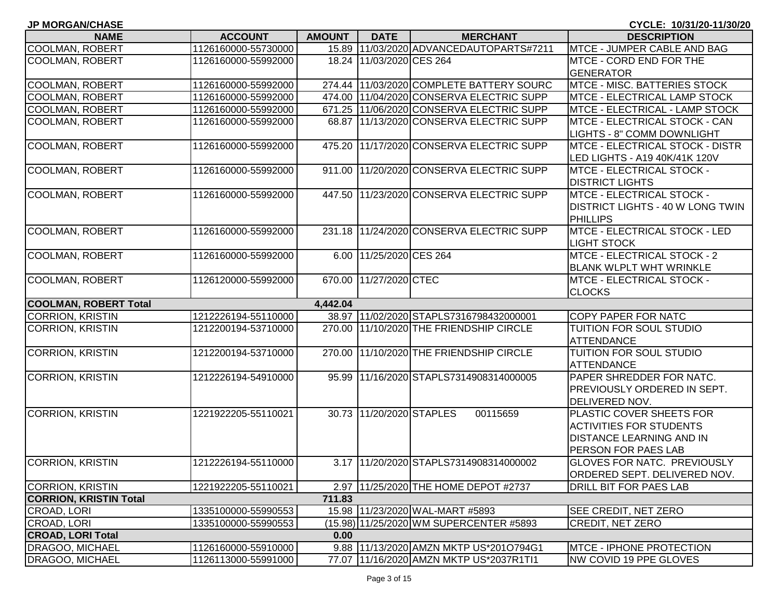| <b>JP MORGAN/CHASE</b>        |                     |               |                          |                                          | CYCLE: 10/31/20-11/30/20                |
|-------------------------------|---------------------|---------------|--------------------------|------------------------------------------|-----------------------------------------|
| <b>NAME</b>                   | <b>ACCOUNT</b>      | <b>AMOUNT</b> | <b>DATE</b>              | <b>MERCHANT</b>                          | <b>DESCRIPTION</b>                      |
| <b>COOLMAN, ROBERT</b>        | 1126160000-55730000 |               |                          | 15.89 11/03/2020 ADVANCEDAUTOPARTS#7211  | MTCE - JUMPER CABLE AND BAG             |
| <b>COOLMAN, ROBERT</b>        | 1126160000-55992000 |               | 18.24 11/03/2020 CES 264 |                                          | MTCE - CORD END FOR THE                 |
|                               |                     |               |                          |                                          | <b>GENERATOR</b>                        |
| <b>COOLMAN, ROBERT</b>        | 1126160000-55992000 |               |                          | 274.44 11/03/2020 COMPLETE BATTERY SOURC | MTCE - MISC. BATTERIES STOCK            |
| <b>COOLMAN, ROBERT</b>        | 1126160000-55992000 |               |                          | 474.00 11/04/2020 CONSERVA ELECTRIC SUPP | <b>MTCE - ELECTRICAL LAMP STOCK</b>     |
| <b>COOLMAN, ROBERT</b>        | 1126160000-55992000 |               |                          | 671.25 11/06/2020 CONSERVA ELECTRIC SUPP | <b>MTCE - ELECTRICAL - LAMP STOCK</b>   |
| <b>COOLMAN, ROBERT</b>        | 1126160000-55992000 |               |                          | 68.87 11/13/2020 CONSERVA ELECTRIC SUPP  | MTCE - ELECTRICAL STOCK - CAN           |
|                               |                     |               |                          |                                          | LIGHTS - 8" COMM DOWNLIGHT              |
| <b>COOLMAN, ROBERT</b>        | 1126160000-55992000 |               |                          | 475.20 11/17/2020 CONSERVA ELECTRIC SUPP | <b>MTCE - ELECTRICAL STOCK - DISTR</b>  |
|                               |                     |               |                          |                                          | LED LIGHTS - A19 40K/41K 120V           |
| <b>COOLMAN, ROBERT</b>        | 1126160000-55992000 |               |                          | 911.00 11/20/2020 CONSERVA ELECTRIC SUPP | MTCE - ELECTRICAL STOCK -               |
|                               |                     |               |                          |                                          | <b>DISTRICT LIGHTS</b>                  |
| <b>COOLMAN, ROBERT</b>        | 1126160000-55992000 |               |                          | 447.50 11/23/2020 CONSERVA ELECTRIC SUPP | MTCE - ELECTRICAL STOCK -               |
|                               |                     |               |                          |                                          | <b>DISTRICT LIGHTS - 40 W LONG TWIN</b> |
|                               |                     |               |                          |                                          | PHILLIPS                                |
| <b>COOLMAN, ROBERT</b>        | 1126160000-55992000 |               |                          | 231.18 11/24/2020 CONSERVA ELECTRIC SUPP | MTCE - ELECTRICAL STOCK - LED           |
|                               |                     |               |                          |                                          | <b>LIGHT STOCK</b>                      |
| <b>COOLMAN, ROBERT</b>        | 1126160000-55992000 |               | 6.00 11/25/2020 CES 264  |                                          | MTCE - ELECTRICAL STOCK - 2             |
|                               |                     |               |                          |                                          | <b>BLANK WLPLT WHT WRINKLE</b>          |
| <b>COOLMAN, ROBERT</b>        | 1126120000-55992000 |               | 670.00 11/27/2020 CTEC   |                                          | MTCE - ELECTRICAL STOCK -               |
|                               |                     |               |                          |                                          | <b>CLOCKS</b>                           |
| <b>COOLMAN, ROBERT Total</b>  |                     | 4,442.04      |                          |                                          |                                         |
| <b>CORRION, KRISTIN</b>       | 1212226194-55110000 |               |                          | 38.97 11/02/2020 STAPLS7316798432000001  | <b>COPY PAPER FOR NATC</b>              |
| <b>CORRION, KRISTIN</b>       | 1212200194-53710000 |               |                          | 270.00 11/10/2020 THE FRIENDSHIP CIRCLE  | TUITION FOR SOUL STUDIO                 |
|                               |                     |               |                          |                                          | <b>ATTENDANCE</b>                       |
| <b>CORRION, KRISTIN</b>       | 1212200194-53710000 |               |                          | 270.00 11/10/2020 THE FRIENDSHIP CIRCLE  | TUITION FOR SOUL STUDIO                 |
|                               |                     |               |                          |                                          | <b>ATTENDANCE</b>                       |
| CORRION, KRISTIN              | 1212226194-54910000 |               |                          | 95.99 11/16/2020 STAPLS7314908314000005  | PAPER SHREDDER FOR NATC.                |
|                               |                     |               |                          |                                          | PREVIOUSLY ORDERED IN SEPT.             |
|                               |                     |               |                          |                                          | DELIVERED NOV.                          |
| <b>CORRION, KRISTIN</b>       | 1221922205-55110021 |               | 30.73 11/20/2020 STAPLES | 00115659                                 | PLASTIC COVER SHEETS FOR                |
|                               |                     |               |                          |                                          | <b>ACTIVITIES FOR STUDENTS</b>          |
|                               |                     |               |                          |                                          | <b>DISTANCE LEARNING AND IN</b>         |
|                               |                     |               |                          |                                          | PERSON FOR PAES LAB                     |
| <b>CORRION, KRISTIN</b>       | 1212226194-55110000 |               |                          | 3.17 11/20/2020 STAPLS7314908314000002   | <b>GLOVES FOR NATC. PREVIOUSLY</b>      |
|                               |                     |               |                          |                                          | ORDERED SEPT. DELIVERED NOV.            |
| <b>CORRION, KRISTIN</b>       | 1221922205-55110021 |               |                          | 2.97 11/25/2020 THE HOME DEPOT #2737     | <b>DRILL BIT FOR PAES LAB</b>           |
| <b>CORRION, KRISTIN Total</b> |                     | 711.83        |                          |                                          |                                         |
| CROAD, LORI                   | 1335100000-55990553 |               |                          | 15.98 11/23/2020 WAL-MART #5893          | <b>SEE CREDIT, NET ZERO</b>             |
| CROAD, LORI                   | 1335100000-55990553 |               |                          | (15.98) 11/25/2020 WM SUPERCENTER #5893  | <b>CREDIT, NET ZERO</b>                 |
| <b>CROAD, LORI Total</b>      |                     | 0.00          |                          |                                          |                                         |
| DRAGOO, MICHAEL               | 1126160000-55910000 |               |                          | 9.88 11/13/2020 AMZN MKTP US*201O794G1   | <b>MTCE - IPHONE PROTECTION</b>         |
| DRAGOO, MICHAEL               | 1126113000-55991000 |               |                          | 77.07 11/16/2020 AMZN MKTP US*2037R1TI1  | NW COVID 19 PPE GLOVES                  |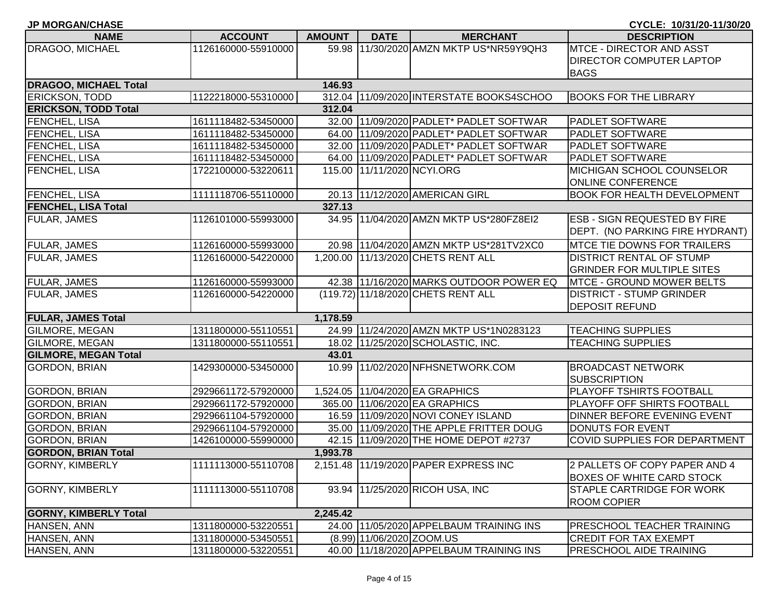| <b>NAME</b>                  | <b>ACCOUNT</b>      | <b>AMOUNT</b> | <b>DATE</b>               | <b>MERCHANT</b>                          | <b>DESCRIPTION</b>                  |
|------------------------------|---------------------|---------------|---------------------------|------------------------------------------|-------------------------------------|
| DRAGOO, MICHAEL              | 1126160000-55910000 | 59.98         |                           | 11/30/2020 AMZN MKTP US*NR59Y9QH3        | <b>MTCE - DIRECTOR AND ASST</b>     |
|                              |                     |               |                           |                                          | <b>DIRECTOR COMPUTER LAPTOP</b>     |
|                              |                     |               |                           |                                          | <b>BAGS</b>                         |
| <b>DRAGOO, MICHAEL Total</b> |                     | 146.93        |                           |                                          |                                     |
| <b>ERICKSON, TODD</b>        | 1122218000-55310000 |               |                           | 312.04 11/09/2020 INTERSTATE BOOKS4SCHOO | <b>BOOKS FOR THE LIBRARY</b>        |
| <b>ERICKSON, TODD Total</b>  |                     | 312.04        |                           |                                          |                                     |
| <b>FENCHEL, LISA</b>         | 1611118482-53450000 |               |                           | 32.00 11/09/2020 PADLET* PADLET SOFTWAR  | <b>PADLET SOFTWARE</b>              |
| <b>FENCHEL, LISA</b>         | 1611118482-53450000 |               |                           | 64.00 11/09/2020 PADLET* PADLET SOFTWAR  | <b>PADLET SOFTWARE</b>              |
| <b>FENCHEL, LISA</b>         | 1611118482-53450000 |               |                           | 32.00 11/09/2020 PADLET* PADLET SOFTWAR  | <b>PADLET SOFTWARE</b>              |
| <b>FENCHEL, LISA</b>         | 1611118482-53450000 |               |                           | 64.00 11/09/2020 PADLET* PADLET SOFTWAR  | <b>PADLET SOFTWARE</b>              |
| FENCHEL, LISA                | 1722100000-53220611 |               |                           | 115.00 11/11/2020 NCYI.ORG               | <b>MICHIGAN SCHOOL COUNSELOR</b>    |
|                              |                     |               |                           |                                          | <b>ONLINE CONFERENCE</b>            |
| FENCHEL, LISA                | 1111118706-55110000 |               |                           | 20.13 11/12/2020 AMERICAN GIRL           | <b>BOOK FOR HEALTH DEVELOPMENT</b>  |
| <b>FENCHEL, LISA Total</b>   |                     | 327.13        |                           |                                          |                                     |
| <b>FULAR, JAMES</b>          | 1126101000-55993000 |               |                           | 34.95 11/04/2020 AMZN MKTP US*280FZ8EI2  | <b>ESB - SIGN REQUESTED BY FIRE</b> |
|                              |                     |               |                           |                                          | DEPT. (NO PARKING FIRE HYDRANT)     |
| <b>FULAR, JAMES</b>          | 1126160000-55993000 |               |                           | 20.98 11/04/2020 AMZN MKTP US*281TV2XC0  | <b>MTCE TIE DOWNS FOR TRAILERS</b>  |
| <b>FULAR, JAMES</b>          | 1126160000-54220000 |               |                           | 1,200.00 11/13/2020 CHETS RENT ALL       | <b>DISTRICT RENTAL OF STUMP</b>     |
|                              |                     |               |                           |                                          | <b>GRINDER FOR MULTIPLE SITES</b>   |
| <b>FULAR, JAMES</b>          | 1126160000-55993000 |               |                           | 42.38 11/16/2020 MARKS OUTDOOR POWER EQ  | <b>MTCE - GROUND MOWER BELTS</b>    |
| <b>FULAR, JAMES</b>          | 1126160000-54220000 |               |                           | (119.72) 11/18/2020 CHETS RENT ALL       | <b>DISTRICT - STUMP GRINDER</b>     |
|                              |                     |               |                           |                                          | <b>DEPOSIT REFUND</b>               |
| <b>FULAR, JAMES Total</b>    |                     | 1,178.59      |                           |                                          |                                     |
| <b>GILMORE, MEGAN</b>        | 1311800000-55110551 |               |                           | 24.99 11/24/2020 AMZN MKTP US*1N0283123  | <b>TEACHING SUPPLIES</b>            |
| GILMORE, MEGAN               | 1311800000-55110551 |               |                           | 18.02 11/25/2020 SCHOLASTIC, INC.        | <b>TEACHING SUPPLIES</b>            |
| <b>GILMORE, MEGAN Total</b>  |                     | 43.01         |                           |                                          |                                     |
| <b>GORDON, BRIAN</b>         | 1429300000-53450000 |               |                           | 10.99 11/02/2020 NFHSNETWORK.COM         | <b>BROADCAST NETWORK</b>            |
|                              |                     |               |                           |                                          | <b>SUBSCRIPTION</b>                 |
| <b>GORDON, BRIAN</b>         | 2929661172-57920000 |               |                           | 1,524.05 11/04/2020 EA GRAPHICS          | PLAYOFF TSHIRTS FOOTBALL            |
| <b>GORDON, BRIAN</b>         | 2929661172-57920000 |               |                           | 365.00 11/06/2020 EA GRAPHICS            | PLAYOFF OFF SHIRTS FOOTBALL         |
| <b>GORDON, BRIAN</b>         | 2929661104-57920000 |               |                           | 16.59 11/09/2020 NOVI CONEY ISLAND       | DINNER BEFORE EVENING EVENT         |
| <b>GORDON, BRIAN</b>         | 2929661104-57920000 |               |                           | 35.00 11/09/2020 THE APPLE FRITTER DOUG  | DONUTS FOR EVENT                    |
| <b>GORDON, BRIAN</b>         | 1426100000-55990000 |               |                           | 42.15 11/09/2020 THE HOME DEPOT #2737    | COVID SUPPLIES FOR DEPARTMENT       |
| <b>GORDON, BRIAN Total</b>   |                     | 1,993.78      |                           |                                          |                                     |
| <b>GORNY, KIMBERLY</b>       | 1111113000-55110708 |               |                           | 2,151.48 11/19/2020 PAPER EXPRESS INC    | 2 PALLETS OF COPY PAPER AND 4       |
|                              |                     |               |                           |                                          | <b>BOXES OF WHITE CARD STOCK</b>    |
| <b>GORNY, KIMBERLY</b>       | 1111113000-55110708 |               |                           | 93.94 11/25/2020 RICOH USA, INC          | <b>STAPLE CARTRIDGE FOR WORK</b>    |
|                              |                     |               |                           |                                          | <b>ROOM COPIER</b>                  |
| <b>GORNY, KIMBERLY Total</b> |                     | 2,245.42      |                           |                                          |                                     |
| HANSEN, ANN                  | 1311800000-53220551 |               |                           | 24.00 11/05/2020 APPELBAUM TRAINING INS  | <b>PRESCHOOL TEACHER TRAINING</b>   |
| HANSEN, ANN                  | 1311800000-53450551 |               | (8.99) 11/06/2020 ZOOM.US |                                          | <b>CREDIT FOR TAX EXEMPT</b>        |
| HANSEN, ANN                  | 1311800000-53220551 |               |                           | 40.00 11/18/2020 APPELBAUM TRAINING INS  | PRESCHOOL AIDE TRAINING             |

**JP MORGAN/CHASE CYCLE: 10/31/20-11/30/20**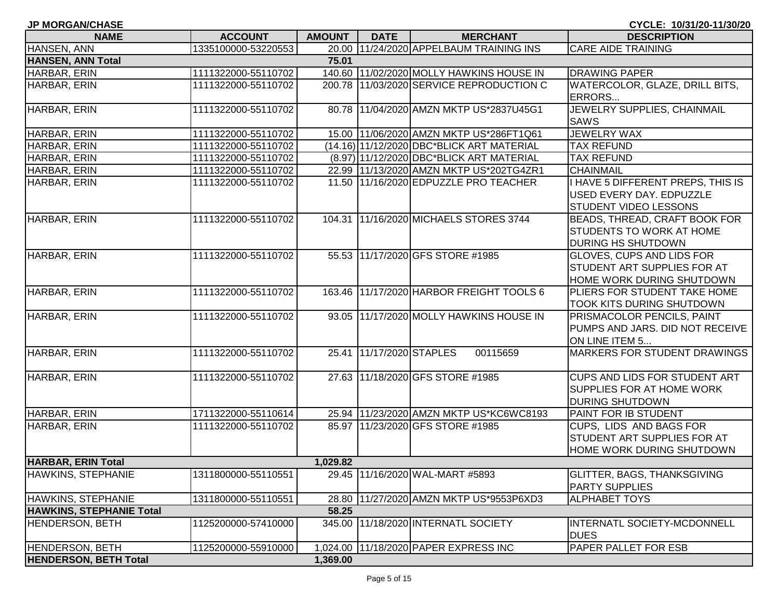| <b>JP MORGAN/CHASE</b>                                 |                     |               |                          |                                           | CYCLE: 10/31/20-11/30/20           |
|--------------------------------------------------------|---------------------|---------------|--------------------------|-------------------------------------------|------------------------------------|
| <b>NAME</b>                                            | <b>ACCOUNT</b>      | <b>AMOUNT</b> | <b>DATE</b>              | <b>MERCHANT</b>                           | <b>DESCRIPTION</b>                 |
| <b>HANSEN, ANN</b>                                     | 1335100000-53220553 |               |                          | 20.00 11/24/2020 APPELBAUM TRAINING INS   | <b>CARE AIDE TRAINING</b>          |
| <b>HANSEN, ANN Total</b>                               |                     | 75.01         |                          |                                           |                                    |
| HARBAR, ERIN                                           | 1111322000-55110702 |               |                          | 140.60 11/02/2020 MOLLY HAWKINS HOUSE IN  | <b>DRAWING PAPER</b>               |
| HARBAR, ERIN                                           | 1111322000-55110702 |               |                          | 200.78 11/03/2020 SERVICE REPRODUCTION C  | WATERCOLOR, GLAZE, DRILL BITS,     |
|                                                        |                     |               |                          |                                           | ERRORS                             |
| HARBAR, ERIN                                           | 1111322000-55110702 |               |                          | 80.78 11/04/2020 AMZN MKTP US*2837U45G1   | JEWELRY SUPPLIES, CHAINMAIL        |
|                                                        |                     |               |                          |                                           | <b>SAWS</b>                        |
| HARBAR, ERIN                                           | 1111322000-55110702 |               |                          | 15.00 11/06/2020 AMZN MKTP US*286FT1Q61   | <b>JEWELRY WAX</b>                 |
| HARBAR, ERIN                                           | 1111322000-55110702 |               |                          | (14.16) 11/12/2020 DBC*BLICK ART MATERIAL | <b>TAX REFUND</b>                  |
| HARBAR, ERIN                                           | 1111322000-55110702 |               |                          | (8.97) 11/12/2020 DBC*BLICK ART MATERIAL  | <b>TAX REFUND</b>                  |
| HARBAR, ERIN                                           | 1111322000-55110702 |               |                          | 22.99 11/13/2020 AMZN MKTP US*202TG4ZR1   | <b>CHAINMAIL</b>                   |
| HARBAR, ERIN                                           | 1111322000-55110702 |               |                          | 11.50 11/16/2020 EDPUZZLE PRO TEACHER     | I HAVE 5 DIFFERENT PREPS, THIS IS  |
|                                                        |                     |               |                          |                                           | USED EVERY DAY. EDPUZZLE           |
|                                                        |                     |               |                          |                                           | STUDENT VIDEO LESSONS              |
| HARBAR, ERIN                                           | 1111322000-55110702 |               |                          | 104.31 11/16/2020 MICHAELS STORES 3744    | BEADS, THREAD, CRAFT BOOK FOR      |
|                                                        |                     |               |                          |                                           | STUDENTS TO WORK AT HOME           |
|                                                        |                     |               |                          |                                           | DURING HS SHUTDOWN                 |
| HARBAR, ERIN                                           | 1111322000-55110702 |               |                          | 55.53 11/17/2020 GFS STORE #1985          | GLOVES, CUPS AND LIDS FOR          |
|                                                        |                     |               |                          |                                           | STUDENT ART SUPPLIES FOR AT        |
|                                                        |                     |               |                          |                                           | HOME WORK DURING SHUTDOWN          |
| HARBAR, ERIN                                           | 1111322000-55110702 |               |                          | 163.46 11/17/2020 HARBOR FREIGHT TOOLS 6  | PLIERS FOR STUDENT TAKE HOME       |
|                                                        |                     |               |                          |                                           | TOOK KITS DURING SHUTDOWN          |
| HARBAR, ERIN                                           | 1111322000-55110702 |               |                          | 93.05 11/17/2020 MOLLY HAWKINS HOUSE IN   | PRISMACOLOR PENCILS, PAINT         |
|                                                        |                     |               |                          |                                           | PUMPS AND JARS. DID NOT RECEIVE    |
|                                                        |                     |               |                          |                                           | ON LINE ITEM 5                     |
| HARBAR, ERIN                                           | 1111322000-55110702 |               | 25.41 11/17/2020 STAPLES | 00115659                                  | MARKERS FOR STUDENT DRAWINGS       |
|                                                        |                     |               |                          |                                           |                                    |
| HARBAR, ERIN                                           | 1111322000-55110702 |               |                          | 27.63 11/18/2020 GFS STORE #1985          | CUPS AND LIDS FOR STUDENT ART      |
|                                                        |                     |               |                          |                                           | <b>SUPPLIES FOR AT HOME WORK</b>   |
|                                                        |                     |               |                          |                                           | <b>DURING SHUTDOWN</b>             |
| HARBAR, ERIN                                           | 1711322000-55110614 |               |                          | 25.94 11/23/2020 AMZN MKTP US*KC6WC8193   | PAINT FOR IB STUDENT               |
| HARBAR, ERIN                                           | 1111322000-55110702 |               |                          | 85.97 11/23/2020 GFS STORE #1985          | CUPS, LIDS AND BAGS FOR            |
|                                                        |                     |               |                          |                                           | STUDENT ART SUPPLIES FOR AT        |
|                                                        |                     |               |                          |                                           | HOME WORK DURING SHUTDOWN          |
| <b>HARBAR, ERIN Total</b>                              |                     | 1,029.82      |                          |                                           |                                    |
| <b>HAWKINS, STEPHANIE</b>                              | 1311800000-55110551 |               |                          | 29.45 11/16/2020 WAL-MART #5893           | <b>GLITTER, BAGS, THANKSGIVING</b> |
|                                                        |                     |               |                          |                                           | <b>PARTY SUPPLIES</b>              |
| HAWKINS, STEPHANIE                                     | 1311800000-55110551 |               |                          | 28.80 11/27/2020 AMZN MKTP US*9553P6XD3   | <b>ALPHABET TOYS</b>               |
| <b>HAWKINS, STEPHANIE Total</b>                        |                     | 58.25         |                          |                                           |                                    |
| <b>HENDERSON, BETH</b>                                 | 1125200000-57410000 |               |                          | 345.00 11/18/2020 INTERNATL SOCIETY       | INTERNATL SOCIETY-MCDONNELL        |
|                                                        | 1125200000-55910000 |               |                          | 1,024.00 11/18/2020 PAPER EXPRESS INC     | <b>DUES</b>                        |
| <b>HENDERSON, BETH</b><br><b>HENDERSON, BETH Total</b> |                     | 1,369.00      |                          |                                           | PAPER PALLET FOR ESB               |
|                                                        |                     |               |                          |                                           |                                    |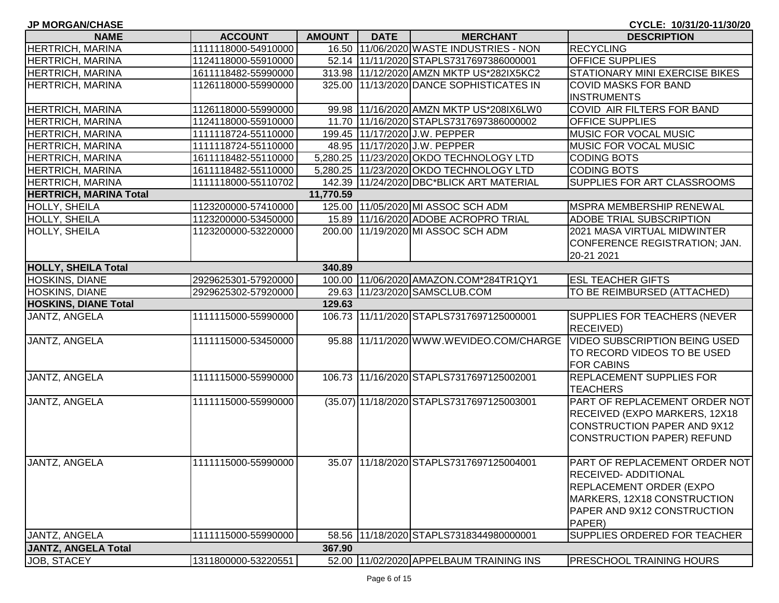**JP MORGAN/CHASE CYCLE: 10/31/20-11/30/20**

| <b>NAME</b>                   | <b>ACCOUNT</b>      | <b>AMOUNT</b> | <b>DATE</b> | <b>MERCHANT</b>                           | <b>DESCRIPTION</b>                    |
|-------------------------------|---------------------|---------------|-------------|-------------------------------------------|---------------------------------------|
| <b>HERTRICH, MARINA</b>       | 1111118000-54910000 |               |             | 16.50 11/06/2020 WASTE INDUSTRIES - NON   | <b>RECYCLING</b>                      |
| <b>HERTRICH, MARINA</b>       | 1124118000-55910000 |               |             | 52.14 11/11/2020 STAPLS7317697386000001   | <b>OFFICE SUPPLIES</b>                |
| <b>HERTRICH, MARINA</b>       | 1611118482-55990000 |               |             | 313.98 11/12/2020 AMZN MKTP US*282IX5KC2  | STATIONARY MINI EXERCISE BIKES        |
| <b>HERTRICH, MARINA</b>       | 1126118000-55990000 |               |             | 325.00 11/13/2020 DANCE SOPHISTICATES IN  | <b>COVID MASKS FOR BAND</b>           |
|                               |                     |               |             |                                           | <b>INSTRUMENTS</b>                    |
| <b>HERTRICH, MARINA</b>       | 1126118000-55990000 |               |             | 99.98 11/16/2020 AMZN MKTP US*208IX6LW0   | COVID AIR FILTERS FOR BAND            |
| <b>HERTRICH, MARINA</b>       | 1124118000-55910000 |               |             | 11.70 11/16/2020 STAPLS7317697386000002   | <b>OFFICE SUPPLIES</b>                |
| <b>HERTRICH, MARINA</b>       | 1111118724-55110000 |               |             | 199.45 11/17/2020 J.W. PEPPER             | MUSIC FOR VOCAL MUSIC                 |
| <b>HERTRICH, MARINA</b>       | 1111118724-55110000 |               |             | 48.95 11/17/2020 J.W. PEPPER              | MUSIC FOR VOCAL MUSIC                 |
| <b>HERTRICH, MARINA</b>       | 1611118482-55110000 |               |             | 5,280.25 11/23/2020 OKDO TECHNOLOGY LTD   | <b>CODING BOTS</b>                    |
| <b>HERTRICH, MARINA</b>       | 1611118482-55110000 |               |             | 5,280.25 11/23/2020 OKDO TECHNOLOGY LTD   | <b>CODING BOTS</b>                    |
| <b>HERTRICH, MARINA</b>       | 1111118000-55110702 |               |             | 142.39 11/24/2020 DBC*BLICK ART MATERIAL  | SUPPLIES FOR ART CLASSROOMS           |
| <b>HERTRICH, MARINA Total</b> |                     | 11,770.59     |             |                                           |                                       |
| HOLLY, SHEILA                 | 1123200000-57410000 |               |             | 125.00 11/05/2020 MI ASSOC SCH ADM        | <b>IMSPRA MEMBERSHIP RENEWAL</b>      |
| HOLLY, SHEILA                 | 1123200000-53450000 |               |             | 15.89 11/16/2020 ADOBE ACROPRO TRIAL      | <b>ADOBE TRIAL SUBSCRIPTION</b>       |
| HOLLY, SHEILA                 | 1123200000-53220000 |               |             | 200.00 11/19/2020 MI ASSOC SCH ADM        | 2021 MASA VIRTUAL MIDWINTER           |
|                               |                     |               |             |                                           | CONFERENCE REGISTRATION; JAN.         |
|                               |                     |               |             |                                           | 20-21 2021                            |
| <b>HOLLY, SHEILA Total</b>    |                     | 340.89        |             |                                           |                                       |
| HOSKINS, DIANE                | 2929625301-57920000 |               |             | 100.00 11/06/2020 AMAZON.COM*284TR1QY1    | <b>ESL TEACHER GIFTS</b>              |
| <b>HOSKINS, DIANE</b>         | 2929625302-57920000 |               |             | 29.63 11/23/2020 SAMSCLUB.COM             | TO BE REIMBURSED (ATTACHED)           |
| <b>HOSKINS, DIANE Total</b>   |                     | 129.63        |             |                                           |                                       |
| JANTZ, ANGELA                 | 1111115000-55990000 |               |             | 106.73 11/11/2020 STAPLS7317697125000001  | <b>SUPPLIES FOR TEACHERS (NEVER</b>   |
|                               |                     |               |             |                                           | RECEIVED)                             |
| JANTZ, ANGELA                 | 1111115000-53450000 |               |             | 95.88 11/11/2020 WWW.WEVIDEO.COM/CHARGE   | <b>VIDEO SUBSCRIPTION BEING USED</b>  |
|                               |                     |               |             |                                           | TO RECORD VIDEOS TO BE USED           |
|                               |                     |               |             |                                           | <b>FOR CABINS</b>                     |
| <b>JANTZ, ANGELA</b>          | 1111115000-55990000 |               |             | 106.73 11/16/2020 STAPLS7317697125002001  | <b>REPLACEMENT SUPPLIES FOR</b>       |
|                               |                     |               |             |                                           | <b>TEACHERS</b>                       |
| <b>JANTZ, ANGELA</b>          | 1111115000-55990000 |               |             | (35.07) 11/18/2020 STAPLS7317697125003001 | PART OF REPLACEMENT ORDER NOT         |
|                               |                     |               |             |                                           | RECEIVED (EXPO MARKERS, 12X18)        |
|                               |                     |               |             |                                           | <b>CONSTRUCTION PAPER AND 9X12</b>    |
|                               |                     |               |             |                                           | <b>CONSTRUCTION PAPER) REFUND</b>     |
|                               |                     |               |             |                                           |                                       |
| JANTZ, ANGELA                 | 1111115000-55990000 |               |             | 35.07   11/18/2020 STAPLS7317697125004001 | PART OF REPLACEMENT ORDER NOT         |
|                               |                     |               |             |                                           | RECEIVED- ADDITIONAL                  |
|                               |                     |               |             |                                           | <b>REPLACEMENT ORDER (EXPO</b>        |
|                               |                     |               |             |                                           | MARKERS, 12X18 CONSTRUCTION           |
|                               |                     |               |             |                                           | PAPER AND 9X12 CONSTRUCTION<br>PAPER) |
| JANTZ, ANGELA                 | 1111115000-55990000 |               |             | 58.56 11/18/2020 STAPLS7318344980000001   | SUPPLIES ORDERED FOR TEACHER          |
| JANTZ, ANGELA Total           |                     | 367.90        |             |                                           |                                       |
| JOB, STACEY                   | 1311800000-53220551 |               |             | 52.00 11/02/2020 APPELBAUM TRAINING INS   | <b>PRESCHOOL TRAINING HOURS</b>       |
|                               |                     |               |             |                                           |                                       |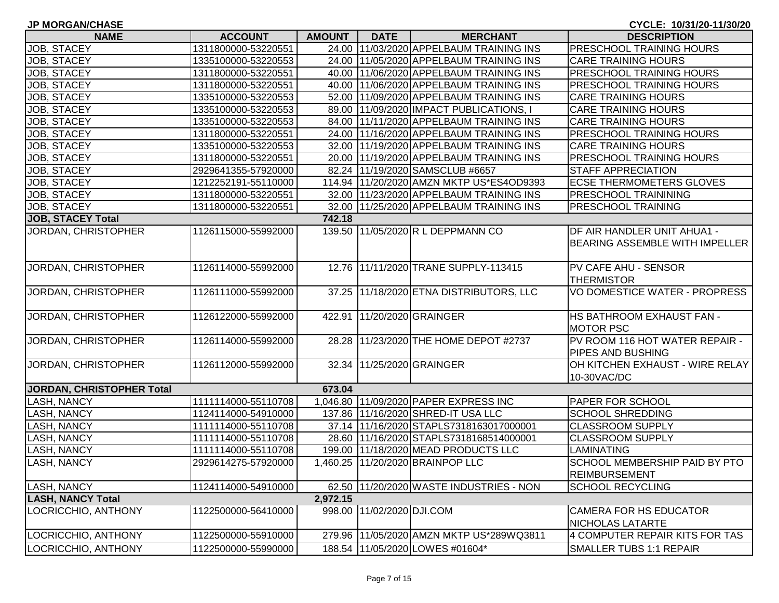| <b>JP MORGAN/CHASE</b>    |                     |               |                           |                                          | CYCLE: 10/31/20-11/30/20                                      |
|---------------------------|---------------------|---------------|---------------------------|------------------------------------------|---------------------------------------------------------------|
| <b>NAME</b>               | <b>ACCOUNT</b>      | <b>AMOUNT</b> | <b>DATE</b>               | <b>MERCHANT</b>                          | <b>DESCRIPTION</b>                                            |
| JOB, STACEY               | 1311800000-53220551 |               |                           | 24.00 11/03/2020 APPELBAUM TRAINING INS  | <b>PRESCHOOL TRAINING HOURS</b>                               |
| JOB, STACEY               | 1335100000-53220553 |               |                           | 24.00 11/05/2020 APPELBAUM TRAINING INS  | <b>CARE TRAINING HOURS</b>                                    |
| JOB, STACEY               | 1311800000-53220551 |               |                           | 40.00 11/06/2020 APPELBAUM TRAINING INS  | PRESCHOOL TRAINING HOURS                                      |
| JOB, STACEY               | 1311800000-53220551 |               |                           | 40.00 11/06/2020 APPELBAUM TRAINING INS  | PRESCHOOL TRAINING HOURS                                      |
| JOB, STACEY               | 1335100000-53220553 |               |                           | 52.00 11/09/2020 APPELBAUM TRAINING INS  | <b>CARE TRAINING HOURS</b>                                    |
| JOB, STACEY               | 1335100000-53220553 |               |                           | 89.00 11/09/2020 IMPACT PUBLICATIONS,    | CARE TRAINING HOURS                                           |
| JOB, STACEY               | 1335100000-53220553 |               |                           | 84.00 11/11/2020 APPELBAUM TRAINING INS  | <b>CARE TRAINING HOURS</b>                                    |
| JOB, STACEY               | 1311800000-53220551 |               |                           | 24.00 11/16/2020 APPELBAUM TRAINING INS  | PRESCHOOL TRAINING HOURS                                      |
| <b>JOB, STACEY</b>        | 1335100000-53220553 |               |                           | 32.00 11/19/2020 APPELBAUM TRAINING INS  | <b>CARE TRAINING HOURS</b>                                    |
| JOB, STACEY               | 1311800000-53220551 |               |                           | 20.00 11/19/2020 APPELBAUM TRAINING INS  | <b>PRESCHOOL TRAINING HOURS</b>                               |
| JOB, STACEY               | 2929641355-57920000 |               |                           | 82.24 11/19/2020 SAMSCLUB #6657          | <b>STAFF APPRECIATION</b>                                     |
| JOB, STACEY               | 1212252191-55110000 |               |                           | 114.94 11/20/2020 AMZN MKTP US*ES4OD9393 | <b>ECSE THERMOMETERS GLOVES</b>                               |
| JOB, STACEY               | 1311800000-53220551 |               |                           | 32.00 11/23/2020 APPELBAUM TRAINING INS  | <b>PRESCHOOL TRAININING</b>                                   |
| JOB, STACEY               | 1311800000-53220551 |               |                           | 32.00 11/25/2020 APPELBAUM TRAINING INS  | <b>PRESCHOOL TRAINING</b>                                     |
| <b>JOB, STACEY Total</b>  |                     | 742.18        |                           |                                          |                                                               |
| JORDAN, CHRISTOPHER       | 1126115000-55992000 |               |                           | 139.50 11/05/2020 R L DEPPMANN CO        | DF AIR HANDLER UNIT AHUA1 -<br>BEARING ASSEMBLE WITH IMPELLER |
| JORDAN, CHRISTOPHER       | 1126114000-55992000 |               |                           | 12.76 11/11/2020 TRANE SUPPLY-113415     | <b>PV CAFE AHU - SENSOR</b><br><b>THERMISTOR</b>              |
| JORDAN, CHRISTOPHER       | 1126111000-55992000 |               |                           | 37.25 11/18/2020 ETNA DISTRIBUTORS, LLC  | VO DOMESTICE WATER - PROPRESS                                 |
| JORDAN, CHRISTOPHER       | 1126122000-55992000 |               |                           | 422.91 11/20/2020 GRAINGER               | HS BATHROOM EXHAUST FAN -<br><b>MOTOR PSC</b>                 |
| JORDAN, CHRISTOPHER       | 1126114000-55992000 |               |                           | 28.28 11/23/2020 THE HOME DEPOT #2737    | PV ROOM 116 HOT WATER REPAIR -<br><b>PIPES AND BUSHING</b>    |
| JORDAN, CHRISTOPHER       | 1126112000-55992000 |               |                           | 32.34 11/25/2020 GRAINGER                | OH KITCHEN EXHAUST - WIRE RELAY<br>10-30VAC/DC                |
| JORDAN, CHRISTOPHER Total |                     | 673.04        |                           |                                          |                                                               |
| <b>LASH, NANCY</b>        | 1111114000-55110708 |               |                           | 1,046.80 11/09/2020 PAPER EXPRESS INC    | <b>PAPER FOR SCHOOL</b>                                       |
| <b>LASH, NANCY</b>        | 1124114000-54910000 |               |                           | 137.86 11/16/2020 SHRED-IT USA LLC       | <b>SCHOOL SHREDDING</b>                                       |
| <b>LASH, NANCY</b>        | 1111114000-55110708 |               |                           | 37.14 11/16/2020 STAPLS7318163017000001  | <b>CLASSROOM SUPPLY</b>                                       |
| <b>LASH, NANCY</b>        | 1111114000-55110708 |               |                           | 28.60 11/16/2020 STAPLS7318168514000001  | <b>CLASSROOM SUPPLY</b>                                       |
| <b>LASH, NANCY</b>        | 1111114000-55110708 |               |                           | 199.00 11/18/2020 MEAD PRODUCTS LLC      | <b>LAMINATING</b>                                             |
| LASH, NANCY               | 2929614275-57920000 |               |                           | 1,460.25 11/20/2020 BRAINPOP LLC         | SCHOOL MEMBERSHIP PAID BY PTO<br><b>REIMBURSEMENT</b>         |
| <b>LASH, NANCY</b>        | 1124114000-54910000 |               |                           | 62.50 11/20/2020 WASTE INDUSTRIES - NON  | <b>SCHOOL RECYCLING</b>                                       |
| <b>LASH, NANCY Total</b>  |                     | 2,972.15      |                           |                                          |                                                               |
| LOCRICCHIO, ANTHONY       | 1122500000-56410000 |               | 998.00 11/02/2020 DJI.COM |                                          | <b>CAMERA FOR HS EDUCATOR</b><br>NICHOLAS LATARTE             |
| LOCRICCHIO, ANTHONY       | 1122500000-55910000 |               |                           | 279.96 11/05/2020 AMZN MKTP US*289WQ3811 | 4 COMPUTER REPAIR KITS FOR TAS                                |
| LOCRICCHIO, ANTHONY       | 1122500000-55990000 |               |                           | 188.54 11/05/2020 LOWES #01604*          | <b>SMALLER TUBS 1:1 REPAIR</b>                                |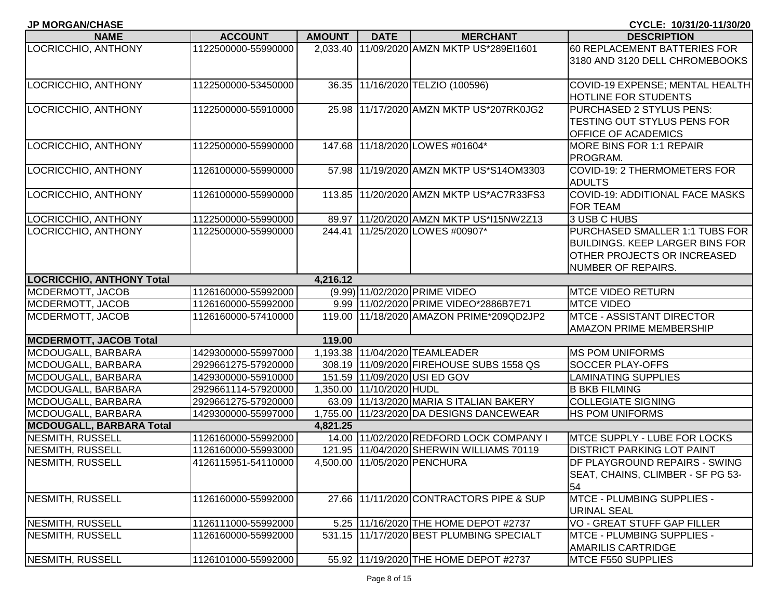| LOCRICCHIO, ANTHONY              | 1122500000-55990000 |          |                          | 2,033.40 11/09/2020 AMZN MKTP US*289EI1601 | 60 REPLACEMENT BATTERIES FOR           |
|----------------------------------|---------------------|----------|--------------------------|--------------------------------------------|----------------------------------------|
|                                  |                     |          |                          |                                            | 3180 AND 3120 DELL CHROMEBOOKS         |
| LOCRICCHIO, ANTHONY              | 1122500000-53450000 |          |                          | 36.35 11/16/2020 TELZIO (100596)           | COVID-19 EXPENSE; MENTAL HEALTH        |
|                                  |                     |          |                          |                                            | <b>HOTLINE FOR STUDENTS</b>            |
| LOCRICCHIO, ANTHONY              | 1122500000-55910000 |          |                          | 25.98 11/17/2020 AMZN MKTP US*207RK0JG2    | PURCHASED 2 STYLUS PENS:               |
|                                  |                     |          |                          |                                            | TESTING OUT STYLUS PENS FOR            |
|                                  |                     |          |                          |                                            | <b>OFFICE OF ACADEMICS</b>             |
| LOCRICCHIO, ANTHONY              | 1122500000-55990000 |          |                          | 147.68 11/18/2020 LOWES #01604*            | <b>MORE BINS FOR 1:1 REPAIR</b>        |
|                                  |                     |          |                          |                                            | PROGRAM.                               |
| LOCRICCHIO, ANTHONY              | 1126100000-55990000 |          |                          | 57.98 11/19/2020 AMZN MKTP US*S14OM3303    | COVID-19: 2 THERMOMETERS FOR           |
|                                  |                     |          |                          |                                            | <b>ADULTS</b>                          |
| LOCRICCHIO, ANTHONY              | 1126100000-55990000 |          |                          | 113.85 11/20/2020 AMZN MKTP US*AC7R33FS3   | <b>COVID-19: ADDITIONAL FACE MASKS</b> |
|                                  |                     |          |                          |                                            | <b>FOR TEAM</b>                        |
| LOCRICCHIO, ANTHONY              | 1122500000-55990000 |          |                          | 89.97 11/20/2020 AMZN MKTP US*115NW2Z13    | 3 USB C HUBS                           |
| LOCRICCHIO, ANTHONY              | 1122500000-55990000 |          |                          | 244.41 11/25/2020 LOWES #00907*            | PURCHASED SMALLER 1:1 TUBS FOR         |
|                                  |                     |          |                          |                                            | <b>BUILDINGS. KEEP LARGER BINS FOR</b> |
|                                  |                     |          |                          |                                            | <b>OTHER PROJECTS OR INCREASED</b>     |
|                                  |                     |          |                          |                                            | NUMBER OF REPAIRS.                     |
| <b>LOCRICCHIO, ANTHONY Total</b> |                     | 4,216.12 |                          |                                            |                                        |
| MCDERMOTT, JACOB                 | 1126160000-55992000 |          |                          | (9.99) 11/02/2020 PRIME VIDEO              | <b>MTCE VIDEO RETURN</b>               |
| MCDERMOTT, JACOB                 | 1126160000-55992000 |          |                          | 9.99 11/02/2020 PRIME VIDEO*2886B7E71      | <b>MTCE VIDEO</b>                      |
| MCDERMOTT, JACOB                 | 1126160000-57410000 |          |                          | 119.00 11/18/2020 AMAZON PRIME*209QD2JP2   | <b>MTCE - ASSISTANT DIRECTOR</b>       |
| <b>MCDERMOTT, JACOB Total</b>    |                     | 119.00   |                          |                                            | <b>AMAZON PRIME MEMBERSHIP</b>         |
| MCDOUGALL, BARBARA               | 1429300000-55997000 |          |                          | 1,193.38 11/04/2020 TEAMLEADER             | <b>MS POM UNIFORMS</b>                 |
| MCDOUGALL, BARBARA               | 2929661275-57920000 |          |                          | 308.19 11/09/2020 FIREHOUSE SUBS 1558 QS   | <b>SOCCER PLAY-OFFS</b>                |
| MCDOUGALL, BARBARA               | 1429300000-55910000 |          |                          | 151.59 11/09/2020 USI ED GOV               | <b>LAMINATING SUPPLIES</b>             |
| MCDOUGALL, BARBARA               | 2929661114-57920000 |          | 1,350.00 11/10/2020 HUDL |                                            | <b>B BKB FILMING</b>                   |
| MCDOUGALL, BARBARA               | 2929661275-57920000 |          |                          | 63.09 11/13/2020 MARIA S ITALIAN BAKERY    | <b>COLLEGIATE SIGNING</b>              |
| MCDOUGALL, BARBARA               | 1429300000-55997000 |          |                          | 1,755.00 11/23/2020 DA DESIGNS DANCEWEAR   | <b>HS POM UNIFORMS</b>                 |
| MCDOUGALL, BARBARA Total         |                     | 4,821.25 |                          |                                            |                                        |
| NESMITH, RUSSELL                 | 1126160000-55992000 |          |                          | 14.00 11/02/2020 REDFORD LOCK COMPANY I    | <b>MTCE SUPPLY - LUBE FOR LOCKS</b>    |
| NESMITH, RUSSELL                 | 1126160000-55993000 |          |                          | 121.95 11/04/2020 SHERWIN WILLIAMS 70119   | <b>DISTRICT PARKING LOT PAINT</b>      |
| NESMITH, RUSSELL                 | 4126115951-54110000 |          |                          | 4,500.00 11/05/2020 PENCHURA               | DF PLAYGROUND REPAIRS - SWING          |
|                                  |                     |          |                          |                                            | SEAT, CHAINS, CLIMBER - SF PG 53-      |
|                                  |                     |          |                          |                                            | l54                                    |
| NESMITH, RUSSELL                 | 1126160000-55992000 |          |                          | 27.66 11/11/2020 CONTRACTORS PIPE & SUP    | <b>MTCE - PLUMBING SUPPLIES -</b>      |
|                                  |                     |          |                          |                                            | <b>URINAL SEAL</b>                     |
| NESMITH, RUSSELL                 | 1126111000-55992000 |          |                          | 5.25 11/16/2020 THE HOME DEPOT #2737       | VO - GREAT STUFF GAP FILLER            |
| NESMITH, RUSSELL                 | 1126160000-55992000 |          |                          | 531.15 11/17/2020 BEST PLUMBING SPECIALT   | <b>MTCE - PLUMBING SUPPLIES -</b>      |
|                                  |                     |          |                          |                                            | <b>AMARILIS CARTRIDGE</b>              |
| NESMITH, RUSSELL                 | 1126101000-55992000 |          |                          | 55.92 11/19/2020 THE HOME DEPOT #2737      | MTCE F550 SUPPLIES                     |

**JP MORGAN/CHASE CYCLE: 10/31/20-11/30/20 NAME ACCOUNT AMOUNT DATE MERCHANT DESCRIPTION**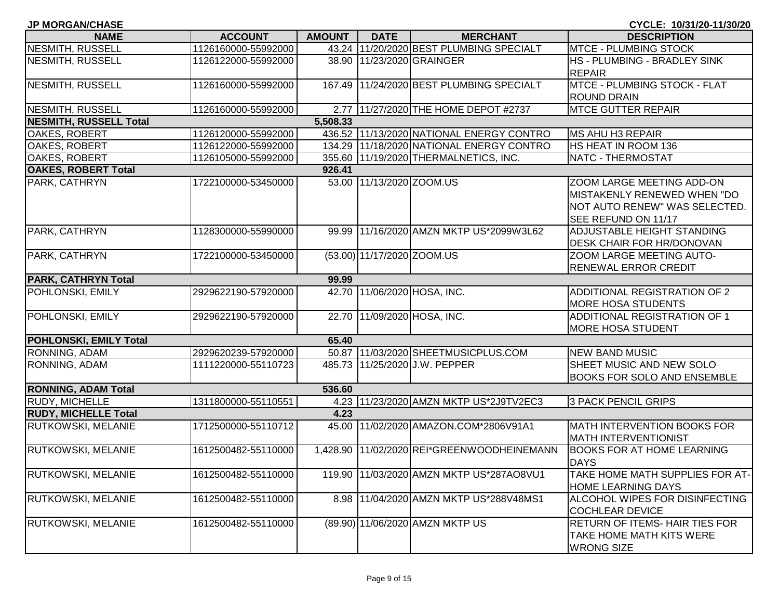| <b>JP MORGAN/CHASE</b>        |                     |               |                            |                                            | CYCLE: 10/31/20-11/30/20           |
|-------------------------------|---------------------|---------------|----------------------------|--------------------------------------------|------------------------------------|
| <b>NAME</b>                   | <b>ACCOUNT</b>      | <b>AMOUNT</b> | <b>DATE</b>                | <b>MERCHANT</b>                            | <b>DESCRIPTION</b>                 |
| NESMITH, RUSSELL              | 1126160000-55992000 |               |                            | 43.24 11/20/2020 BEST PLUMBING SPECIALT    | <b>MTCE - PLUMBING STOCK</b>       |
| NESMITH, RUSSELL              | 1126122000-55992000 |               |                            | 38.90 11/23/2020 GRAINGER                  | HS - PLUMBING - BRADLEY SINK       |
|                               |                     |               |                            |                                            | <b>REPAIR</b>                      |
| <b>NESMITH, RUSSELL</b>       | 1126160000-55992000 | 167.49        |                            | 11/24/2020 BEST PLUMBING SPECIALT          | MTCE - PLUMBING STOCK - FLAT       |
|                               |                     |               |                            |                                            | <b>ROUND DRAIN</b>                 |
| NESMITH, RUSSELL              | 1126160000-55992000 |               |                            | 2.77 11/27/2020 THE HOME DEPOT #2737       | <b>MTCE GUTTER REPAIR</b>          |
| NESMITH, RUSSELL Total        |                     | 5,508.33      |                            |                                            |                                    |
| <b>OAKES, ROBERT</b>          | 1126120000-55992000 |               |                            | 436.52 11/13/2020 NATIONAL ENERGY CONTRO   | MS AHU H3 REPAIR                   |
| OAKES, ROBERT                 | 1126122000-55992000 |               |                            | 134.29 11/18/2020 NATIONAL ENERGY CONTRO   | HS HEAT IN ROOM 136                |
| <b>OAKES, ROBERT</b>          | 1126105000-55992000 |               |                            | 355.60 11/19/2020 THERMALNETICS, INC.      | NATC - THERMOSTAT                  |
| <b>OAKES, ROBERT Total</b>    |                     | 926.41        |                            |                                            |                                    |
| PARK, CATHRYN                 | 1722100000-53450000 |               | 53.00 11/13/2020 ZOOM.US   |                                            | ZOOM LARGE MEETING ADD-ON          |
|                               |                     |               |                            |                                            | MISTAKENLY RENEWED WHEN "DO        |
|                               |                     |               |                            |                                            | NOT AUTO RENEW" WAS SELECTED.      |
|                               |                     |               |                            |                                            | SEE REFUND ON 11/17                |
| PARK, CATHRYN                 | 1128300000-55990000 | 99.99         |                            | 11/16/2020 AMZN MKTP US*2099W3L62          | ADJUSTABLE HEIGHT STANDING         |
|                               |                     |               |                            |                                            | DESK CHAIR FOR HR/DONOVAN          |
| <b>PARK, CATHRYN</b>          | 1722100000-53450000 |               | (53.00) 11/17/2020 ZOOM.US |                                            | ZOOM LARGE MEETING AUTO-           |
|                               |                     |               |                            |                                            | RENEWAL ERROR CREDIT               |
| <b>PARK, CATHRYN Total</b>    |                     | 99.99         |                            |                                            |                                    |
| POHLONSKI, EMILY              | 2929622190-57920000 | 42.70         |                            | 11/06/2020 HOSA, INC.                      | ADDITIONAL REGISTRATION OF 2       |
|                               |                     |               |                            |                                            | <b>MORE HOSA STUDENTS</b>          |
| POHLONSKI, EMILY              | 2929622190-57920000 |               |                            | 22.70 11/09/2020 HOSA, INC.                | ADDITIONAL REGISTRATION OF 1       |
|                               |                     |               |                            |                                            | <b>MORE HOSA STUDENT</b>           |
| <b>POHLONSKI, EMILY Total</b> |                     | 65.40         |                            |                                            |                                    |
| RONNING, ADAM                 | 2929620239-57920000 |               |                            | 50.87 11/03/2020 SHEETMUSICPLUS.COM        | <b>NEW BAND MUSIC</b>              |
| <b>RONNING, ADAM</b>          | 1111220000-55110723 |               |                            | 485.73 11/25/2020 J.W. PEPPER              | SHEET MUSIC AND NEW SOLO           |
|                               |                     |               |                            |                                            | BOOKS FOR SOLO AND ENSEMBLE        |
| <b>RONNING, ADAM Total</b>    |                     | 536.60        |                            |                                            |                                    |
| <b>RUDY, MICHELLE</b>         | 1311800000-55110551 |               |                            | 4.23 11/23/2020 AMZN MKTP US*2J9TV2EC3     | 3 PACK PENCIL GRIPS                |
| <b>RUDY, MICHELLE Total</b>   |                     | 4.23          |                            |                                            |                                    |
| <b>RUTKOWSKI, MELANIE</b>     | 1712500000-55110712 | 45.00         |                            | 11/02/2020 AMAZON.COM*2806V91A1            | <b>MATH INTERVENTION BOOKS FOR</b> |
|                               |                     |               |                            |                                            | <b>MATH INTERVENTIONIST</b>        |
| <b>RUTKOWSKI, MELANIE</b>     | 1612500482-55110000 |               |                            | 1,428.90 11/02/2020 REI*GREENWOODHEINEMANN | <b>BOOKS FOR AT HOME LEARNING</b>  |
|                               |                     |               |                            |                                            | <b>DAYS</b>                        |
| RUTKOWSKI, MELANIE            | 1612500482-55110000 |               |                            | 119.90 11/03/2020 AMZN MKTP US*287AO8VU1   | TAKE HOME MATH SUPPLIES FOR AT-    |
|                               |                     |               |                            |                                            | <b>HOME LEARNING DAYS</b>          |
| <b>RUTKOWSKI, MELANIE</b>     | 1612500482-55110000 |               |                            | 8.98 11/04/2020 AMZN MKTP US*288V48MS1     | ALCOHOL WIPES FOR DISINFECTING     |
|                               |                     |               |                            |                                            | <b>COCHLEAR DEVICE</b>             |
| <b>RUTKOWSKI, MELANIE</b>     | 1612500482-55110000 |               |                            | (89.90) 11/06/2020 AMZN MKTP US            | RETURN OF ITEMS- HAIR TIES FOR     |
|                               |                     |               |                            |                                            | TAKE HOME MATH KITS WERE           |
|                               |                     |               |                            |                                            | <b>WRONG SIZE</b>                  |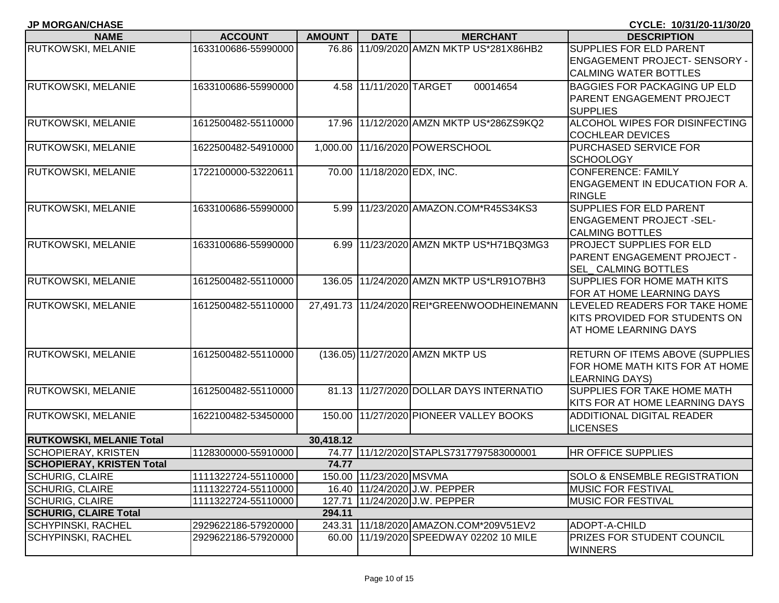| <b>JP MORGAN/CHASE</b>           |                     |               |                            |                                             | CYCLE: 10/31/20-11/30/20                |
|----------------------------------|---------------------|---------------|----------------------------|---------------------------------------------|-----------------------------------------|
| <b>NAME</b>                      | <b>ACCOUNT</b>      | <b>AMOUNT</b> | <b>DATE</b>                | <b>MERCHANT</b>                             | <b>DESCRIPTION</b>                      |
| RUTKOWSKI, MELANIE               | 1633100686-55990000 |               |                            | 76.86 11/09/2020 AMZN MKTP US*281X86HB2     | <b>SUPPLIES FOR ELD PARENT</b>          |
|                                  |                     |               |                            |                                             | <b>ENGAGEMENT PROJECT- SENSORY -</b>    |
|                                  |                     |               |                            |                                             | <b>CALMING WATER BOTTLES</b>            |
| RUTKOWSKI, MELANIE               | 1633100686-55990000 |               | 4.58 11/11/2020 TARGET     | 00014654                                    | <b>BAGGIES FOR PACKAGING UP ELD</b>     |
|                                  |                     |               |                            |                                             | PARENT ENGAGEMENT PROJECT               |
|                                  |                     |               |                            |                                             | <b>SUPPLIES</b>                         |
| <b>RUTKOWSKI, MELANIE</b>        | 1612500482-55110000 |               |                            | 17.96 11/12/2020 AMZN MKTP US*286ZS9KQ2     | ALCOHOL WIPES FOR DISINFECTING          |
|                                  |                     |               |                            |                                             | <b>COCHLEAR DEVICES</b>                 |
| RUTKOWSKI, MELANIE               | 1622500482-54910000 |               |                            | 1,000.00 11/16/2020 POWERSCHOOL             | PURCHASED SERVICE FOR                   |
|                                  |                     |               |                            |                                             | <b>SCHOOLOGY</b>                        |
| RUTKOWSKI, MELANIE               | 1722100000-53220611 |               | 70.00 11/18/2020 EDX, INC. |                                             | <b>CONFERENCE: FAMILY</b>               |
|                                  |                     |               |                            |                                             | <b>ENGAGEMENT IN EDUCATION FOR A.</b>   |
|                                  |                     |               |                            |                                             | <b>RINGLE</b>                           |
| RUTKOWSKI, MELANIE               | 1633100686-55990000 |               |                            | 5.99 11/23/2020 AMAZON.COM*R45S34KS3        | <b>SUPPLIES FOR ELD PARENT</b>          |
|                                  |                     |               |                            |                                             | <b>ENGAGEMENT PROJECT -SEL-</b>         |
|                                  |                     |               |                            |                                             | <b>CALMING BOTTLES</b>                  |
| RUTKOWSKI, MELANIE               | 1633100686-55990000 |               |                            | 6.99 11/23/2020 AMZN MKTP US*H71BQ3MG3      | <b>PROJECT SUPPLIES FOR ELD</b>         |
|                                  |                     |               |                            |                                             | <b>PARENT ENGAGEMENT PROJECT -</b>      |
|                                  |                     |               |                            |                                             | <b>SEL CALMING BOTTLES</b>              |
| RUTKOWSKI, MELANIE               | 1612500482-55110000 |               |                            | 136.05 11/24/2020 AMZN MKTP US*LR91O7BH3    | <b>SUPPLIES FOR HOME MATH KITS</b>      |
|                                  |                     |               |                            |                                             | FOR AT HOME LEARNING DAYS               |
| RUTKOWSKI, MELANIE               | 1612500482-55110000 |               |                            | 27,491.73 11/24/2020 REI*GREENWOODHEINEMANN | LEVELED READERS FOR TAKE HOME           |
|                                  |                     |               |                            |                                             | KITS PROVIDED FOR STUDENTS ON           |
|                                  |                     |               |                            |                                             | AT HOME LEARNING DAYS                   |
|                                  |                     |               |                            |                                             |                                         |
| RUTKOWSKI, MELANIE               | 1612500482-55110000 |               |                            | (136.05) 11/27/2020 AMZN MKTP US            | <b>RETURN OF ITEMS ABOVE (SUPPLIES</b>  |
|                                  |                     |               |                            |                                             | FOR HOME MATH KITS FOR AT HOME          |
|                                  |                     |               |                            |                                             | <b>LEARNING DAYS)</b>                   |
| RUTKOWSKI, MELANIE               | 1612500482-55110000 |               |                            | 81.13 11/27/2020 DOLLAR DAYS INTERNATIO     | <b>SUPPLIES FOR TAKE HOME MATH</b>      |
|                                  |                     |               |                            |                                             | KITS FOR AT HOME LEARNING DAYS          |
| RUTKOWSKI, MELANIE               | 1622100482-53450000 | 150.00        |                            | 11/27/2020 PIONEER VALLEY BOOKS             | <b>ADDITIONAL DIGITAL READER</b>        |
|                                  |                     |               |                            |                                             | <b>LICENSES</b>                         |
| <b>RUTKOWSKI, MELANIE Total</b>  |                     | 30,418.12     |                            |                                             |                                         |
| <b>SCHOPIERAY, KRISTEN</b>       | 1128300000-55910000 |               |                            | 74.77 11/12/2020 STAPLS7317797583000001     | <b>HR OFFICE SUPPLIES</b>               |
| <b>SCHOPIERAY, KRISTEN Total</b> |                     | 74.77         |                            |                                             |                                         |
| <b>SCHURIG, CLAIRE</b>           | 1111322724-55110000 |               | 150.00 11/23/2020 MSVMA    |                                             | <b>SOLO &amp; ENSEMBLE REGISTRATION</b> |
| <b>SCHURIG, CLAIRE</b>           | 1111322724-55110000 |               |                            | 16.40 11/24/2020 J.W. PEPPER                | <b>MUSIC FOR FESTIVAL</b>               |
| <b>SCHURIG, CLAIRE</b>           | 1111322724-55110000 | 127.71        |                            | 11/24/2020 J.W. PEPPER                      | <b>MUSIC FOR FESTIVAL</b>               |
| <b>SCHURIG, CLAIRE Total</b>     |                     | 294.11        |                            |                                             |                                         |
| <b>SCHYPINSKI, RACHEL</b>        | 2929622186-57920000 | 243.31        |                            | 11/18/2020 AMAZON.COM*209V51EV2             | ADOPT-A-CHILD                           |
| <b>SCHYPINSKI, RACHEL</b>        | 2929622186-57920000 |               |                            | 60.00 11/19/2020 SPEEDWAY 02202 10 MILE     | <b>PRIZES FOR STUDENT COUNCIL</b>       |
|                                  |                     |               |                            |                                             | <b>WINNERS</b>                          |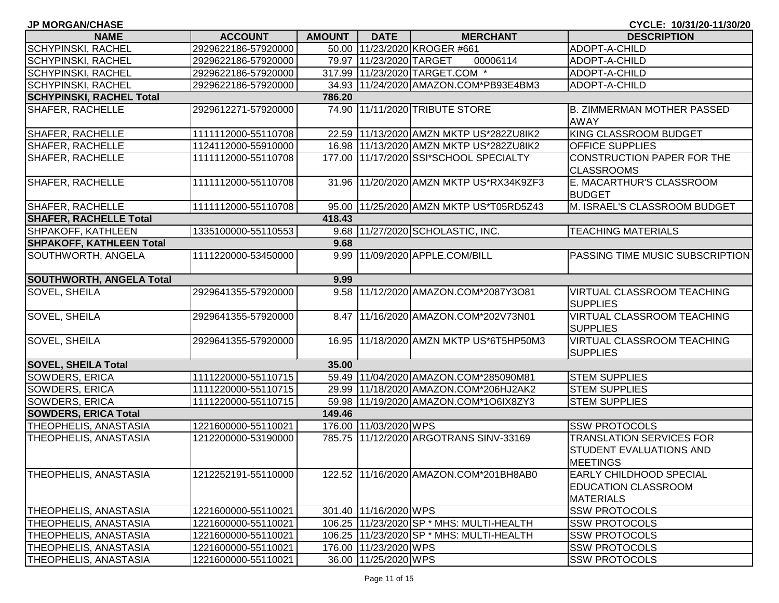| <b>JP MORGAN/CHASE</b>          |                     |               |                         |                                            | CYCLE: 10/31/20-11/30/20                                                         |
|---------------------------------|---------------------|---------------|-------------------------|--------------------------------------------|----------------------------------------------------------------------------------|
| <b>NAME</b>                     | <b>ACCOUNT</b>      | <b>AMOUNT</b> | <b>DATE</b>             | <b>MERCHANT</b>                            | <b>DESCRIPTION</b>                                                               |
| <b>SCHYPINSKI, RACHEL</b>       | 2929622186-57920000 |               |                         | 50.00 11/23/2020 KROGER #661               | ADOPT-A-CHILD                                                                    |
| <b>SCHYPINSKI, RACHEL</b>       | 2929622186-57920000 |               | 79.97 11/23/2020 TARGET | 00006114                                   | ADOPT-A-CHILD                                                                    |
| <b>SCHYPINSKI, RACHEL</b>       | 2929622186-57920000 |               |                         | 317.99 11/23/2020 TARGET.COM *             | ADOPT-A-CHILD                                                                    |
| <b>SCHYPINSKI, RACHEL</b>       | 2929622186-57920000 |               |                         | 34.93 11/24/2020 AMAZON.COM*PB93E4BM3      | ADOPT-A-CHILD                                                                    |
| <b>SCHYPINSKI, RACHEL Total</b> |                     | 786.20        |                         |                                            |                                                                                  |
| <b>SHAFER, RACHELLE</b>         | 2929612271-57920000 |               |                         | 74.90 11/11/2020 TRIBUTE STORE             | <b>B. ZIMMERMAN MOTHER PASSED</b><br><b>AWAY</b>                                 |
| SHAFER, RACHELLE                | 1111112000-55110708 |               |                         | 22.59 11/13/2020 AMZN MKTP US*282ZU8IK2    | KING CLASSROOM BUDGET                                                            |
| <b>SHAFER, RACHELLE</b>         | 1124112000-55910000 |               |                         | 16.98 11/13/2020 AMZN MKTP US*282ZU8IK2    | <b>OFFICE SUPPLIES</b>                                                           |
| SHAFER, RACHELLE                | 1111112000-55110708 |               |                         | 177.00 11/17/2020 SSI*SCHOOL SPECIALTY     | CONSTRUCTION PAPER FOR THE<br><b>CLASSROOMS</b>                                  |
| <b>SHAFER, RACHELLE</b>         | 1111112000-55110708 |               |                         | 31.96 11/20/2020 AMZN MKTP US*RX34K9ZF3    | E. MACARTHUR'S CLASSROOM<br><b>BUDGET</b>                                        |
| <b>SHAFER, RACHELLE</b>         | 1111112000-55110708 |               |                         | 95.00 11/25/2020 AMZN MKTP US*T05RD5Z43    | M. ISRAEL'S CLASSROOM BUDGET                                                     |
| <b>SHAFER, RACHELLE Total</b>   |                     | 418.43        |                         |                                            |                                                                                  |
| SHPAKOFF, KATHLEEN              | 1335100000-55110553 |               |                         | 9.68 11/27/2020 SCHOLASTIC, INC.           | <b>TEACHING MATERIALS</b>                                                        |
| <b>SHPAKOFF, KATHLEEN Total</b> |                     | 9.68          |                         |                                            |                                                                                  |
| SOUTHWORTH, ANGELA              | 1111220000-53450000 |               |                         | 9.99 11/09/2020 APPLE.COM/BILL             | <b>PASSING TIME MUSIC SUBSCRIPTION</b>                                           |
| <b>SOUTHWORTH, ANGELA Total</b> |                     | 9.99          |                         |                                            |                                                                                  |
| <b>SOVEL, SHEILA</b>            | 2929641355-57920000 |               |                         | 9.58 11/12/2020 AMAZON.COM*2087Y3O81       | <b>VIRTUAL CLASSROOM TEACHING</b><br><b>SUPPLIES</b>                             |
| <b>SOVEL, SHEILA</b>            | 2929641355-57920000 |               |                         | 8.47 11/16/2020 AMAZON.COM*202V73N01       | <b>VIRTUAL CLASSROOM TEACHING</b><br><b>SUPPLIES</b>                             |
| SOVEL, SHEILA                   | 2929641355-57920000 |               |                         | 16.95 11/18/2020 AMZN MKTP US*6T5HP50M3    | <b>VIRTUAL CLASSROOM TEACHING</b><br><b>SUPPLIES</b>                             |
| <b>SOVEL, SHEILA Total</b>      |                     | 35.00         |                         |                                            |                                                                                  |
| SOWDERS, ERICA                  | 1111220000-55110715 |               |                         | 59.49 11/04/2020 AMAZON.COM*285090M81      | <b>STEM SUPPLIES</b>                                                             |
| SOWDERS, ERICA                  | 1111220000-55110715 |               |                         | 29.99 11/18/2020 AMAZON.COM*206HJ2AK2      | <b>STEM SUPPLIES</b>                                                             |
| <b>SOWDERS, ERICA</b>           | 1111220000-55110715 |               |                         | 59.98 11/19/2020 AMAZON.COM*1O6IX8ZY3      | <b>STEM SUPPLIES</b>                                                             |
| <b>SOWDERS, ERICA Total</b>     |                     | 149.46        |                         |                                            |                                                                                  |
| <b>THEOPHELIS, ANASTASIA</b>    | 1221600000-55110021 |               | 176.00 11/03/2020 WPS   |                                            | <b>SSW PROTOCOLS</b>                                                             |
| THEOPHELIS, ANASTASIA           | 1212200000-53190000 |               |                         | 785.75 11/12/2020 ARGOTRANS SINV-33169     | <b>TRANSLATION SERVICES FOR</b><br><b>STUDENT EVALUATIONS AND</b><br>MEETINGS    |
| <b>THEOPHELIS, ANASTASIA</b>    | 1212252191-55110000 |               |                         | 122.52 11/16/2020 AMAZON.COM*201BH8AB0     | <b>EARLY CHILDHOOD SPECIAL</b><br><b>EDUCATION CLASSROOM</b><br><b>MATERIALS</b> |
| <b>THEOPHELIS, ANASTASIA</b>    | 1221600000-55110021 |               | 301.40 11/16/2020 WPS   |                                            | <b>SSW PROTOCOLS</b>                                                             |
| <b>THEOPHELIS, ANASTASIA</b>    | 1221600000-55110021 |               |                         | 106.25 11/23/2020 SP * MHS: MULTI-HEALTH   | <b>SSW PROTOCOLS</b>                                                             |
| THEOPHELIS, ANASTASIA           | 1221600000-55110021 |               |                         | 106.25   11/23/2020 SP * MHS: MULTI-HEALTH | <b>SSW PROTOCOLS</b>                                                             |
| THEOPHELIS, ANASTASIA           | 1221600000-55110021 |               | 176.00 11/23/2020 WPS   |                                            | <b>SSW PROTOCOLS</b>                                                             |
| <b>THEOPHELIS, ANASTASIA</b>    | 1221600000-55110021 |               | 36.00 11/25/2020 WPS    |                                            | <b>SSW PROTOCOLS</b>                                                             |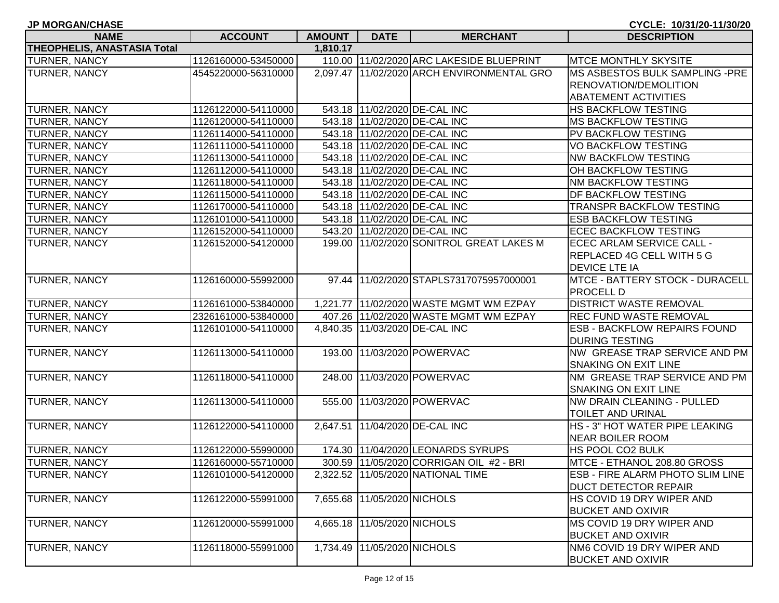| <b>NAME</b>                 | <b>ACCOUNT</b>      | AMOUNT   | <b>DATE</b>                 | <b>MERCHANT</b>                            | <b>DESCRIPTION</b>                  |
|-----------------------------|---------------------|----------|-----------------------------|--------------------------------------------|-------------------------------------|
| THEOPHELIS, ANASTASIA Total |                     | 1,810.17 |                             |                                            |                                     |
| TURNER, NANCY               | 1126160000-53450000 |          |                             | 110.00 11/02/2020 ARC LAKESIDE BLUEPRINT   | <b>MTCE MONTHLY SKYSITE</b>         |
| TURNER, NANCY               | 4545220000-56310000 |          |                             | 2,097.47 11/02/2020 ARCH ENVIRONMENTAL GRO | MS ASBESTOS BULK SAMPLING -PRE      |
|                             |                     |          |                             |                                            | RENOVATION/DEMOLITION               |
|                             |                     |          |                             |                                            | <b>ABATEMENT ACTIVITIES</b>         |
| TURNER, NANCY               | 1126122000-54110000 |          |                             | 543.18 11/02/2020 DE-CAL INC               | <b>HS BACKFLOW TESTING</b>          |
| TURNER, NANCY               | 1126120000-54110000 |          |                             | 543.18 11/02/2020 DE-CAL INC               | <b>MS BACKFLOW TESTING</b>          |
| TURNER, NANCY               | 1126114000-54110000 |          |                             | 543.18 11/02/2020 DE-CAL INC               | PV BACKFLOW TESTING                 |
| TURNER, NANCY               | 1126111000-54110000 |          |                             | 543.18 11/02/2020 DE-CAL INC               | <b>VO BACKFLOW TESTING</b>          |
| TURNER, NANCY               | 1126113000-54110000 |          |                             | 543.18 11/02/2020 DE-CAL INC               | <b>NW BACKFLOW TESTING</b>          |
| TURNER, NANCY               | 1126112000-54110000 |          |                             | 543.18 11/02/2020 DE-CAL INC               | OH BACKFLOW TESTING                 |
| TURNER, NANCY               | 1126118000-54110000 |          |                             | 543.18 11/02/2020 DE-CAL INC               | NM BACKFLOW TESTING                 |
| TURNER, NANCY               | 1126115000-54110000 |          |                             | 543.18 11/02/2020 DE-CAL INC               | DF BACKFLOW TESTING                 |
| TURNER, NANCY               | 1126170000-54110000 |          |                             | 543.18 11/02/2020 DE-CAL INC               | TRANSPR BACKFLOW TESTING            |
| TURNER, NANCY               | 1126101000-54110000 |          |                             | 543.18 11/02/2020 DE-CAL INC               | <b>ESB BACKFLOW TESTING</b>         |
| TURNER, NANCY               | 1126152000-54110000 |          |                             | 543.20 11/02/2020 DE-CAL INC               | <b>ECEC BACKFLOW TESTING</b>        |
| TURNER, NANCY               | 1126152000-54120000 |          |                             | 199.00 11/02/2020 SONITROL GREAT LAKES M   | ECEC ARLAM SERVICE CALL -           |
|                             |                     |          |                             |                                            | REPLACED 4G CELL WITH 5 G           |
|                             |                     |          |                             |                                            | <b>DEVICE LTE IA</b>                |
| TURNER, NANCY               | 1126160000-55992000 |          |                             | 97.44 11/02/2020 STAPLS7317075957000001    | MTCE - BATTERY STOCK - DURACELL     |
|                             |                     |          |                             |                                            | PROCELL D                           |
| <b>TURNER, NANCY</b>        | 1126161000-53840000 |          |                             | 1,221.77 11/02/2020 WASTE MGMT WM EZPAY    | <b>DISTRICT WASTE REMOVAL</b>       |
| TURNER, NANCY               | 2326161000-53840000 |          |                             | 407.26 11/02/2020 WASTE MGMT WM EZPAY      | REC FUND WASTE REMOVAL              |
| TURNER, NANCY               | 1126101000-54110000 |          |                             | 4,840.35 11/03/2020 DE-CAL INC             | <b>ESB - BACKFLOW REPAIRS FOUND</b> |
|                             |                     |          |                             |                                            | <b>DURING TESTING</b>               |
| <b>TURNER, NANCY</b>        | 1126113000-54110000 |          |                             | 193.00 11/03/2020 POWERVAC                 | NW GREASE TRAP SERVICE AND PM       |
|                             |                     |          |                             |                                            | SNAKING ON EXIT LINE                |
| <b>TURNER, NANCY</b>        | 1126118000-54110000 |          |                             | 248.00 11/03/2020 POWERVAC                 | NM GREASE TRAP SERVICE AND PM       |
|                             |                     |          |                             |                                            | SNAKING ON EXIT LINE                |
| TURNER, NANCY               | 1126113000-54110000 |          |                             | 555.00 11/03/2020 POWERVAC                 | NW DRAIN CLEANING - PULLED          |
|                             |                     |          |                             |                                            | TOILET AND URINAL                   |
| <b>TURNER, NANCY</b>        | 1126122000-54110000 |          |                             | 2,647.51 11/04/2020 DE-CAL INC             | HS - 3" HOT WATER PIPE LEAKING      |
|                             |                     |          |                             |                                            | NEAR BOILER ROOM                    |
| TURNER, NANCY               | 1126122000-55990000 |          |                             | 174.30 11/04/2020 LEONARDS SYRUPS          | HS POOL CO2 BULK                    |
| TURNER, NANCY               | 1126160000-55710000 |          |                             | 300.59 11/05/2020 CORRIGAN OIL #2 - BRI    | MTCE - ETHANOL 208.80 GROSS         |
| TURNER, NANCY               | 1126101000-54120000 |          |                             | 2,322.52  11/05/2020 NATIONAL TIME         | ESB - FIRE ALARM PHOTO SLIM LINE    |
|                             |                     |          |                             |                                            | DUCT DETECTOR REPAIR                |
| TURNER, NANCY               | 1126122000-55991000 |          | 7,655.68 11/05/2020 NICHOLS |                                            | HS COVID 19 DRY WIPER AND           |
|                             |                     |          |                             |                                            | <b>BUCKET AND OXIVIR</b>            |
| TURNER, NANCY               | 1126120000-55991000 |          | 4,665.18 11/05/2020 NICHOLS |                                            | MS COVID 19 DRY WIPER AND           |
|                             |                     |          |                             |                                            | <b>BUCKET AND OXIVIR</b>            |
| TURNER, NANCY               | 1126118000-55991000 |          | 1,734.49 11/05/2020 NICHOLS |                                            | NM6 COVID 19 DRY WIPER AND          |
|                             |                     |          |                             |                                            | <b>BUCKET AND OXIVIR</b>            |

**JP MORGAN/CHASE CYCLE: 10/31/20-11/30/20**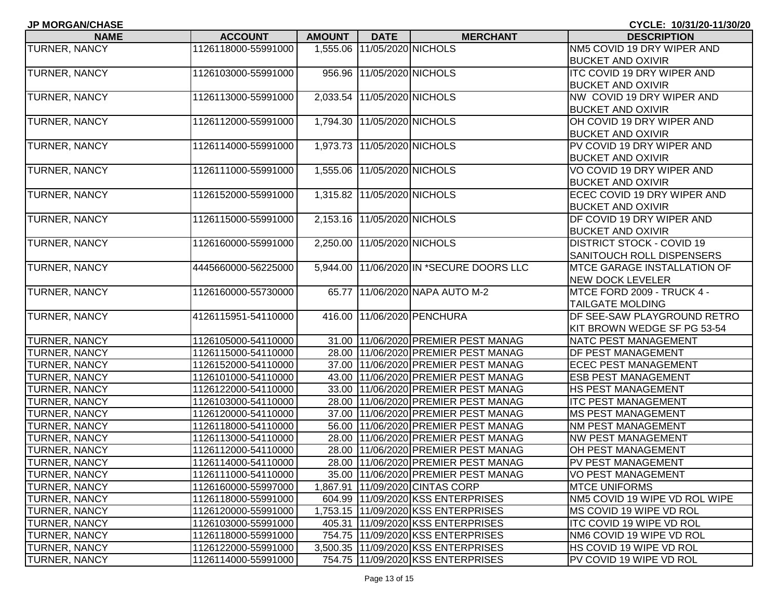| <b>JP MORGAN/CHASE</b> |                     |               |                             |                                          | CYCLE: 10/31/20-11/30/20           |
|------------------------|---------------------|---------------|-----------------------------|------------------------------------------|------------------------------------|
| <b>NAME</b>            | <b>ACCOUNT</b>      | <b>AMOUNT</b> | <b>DATE</b>                 | <b>MERCHANT</b>                          | <b>DESCRIPTION</b>                 |
| TURNER, NANCY          | 1126118000-55991000 |               | 1,555.06 11/05/2020 NICHOLS |                                          | NM5 COVID 19 DRY WIPER AND         |
|                        |                     |               |                             |                                          | <b>BUCKET AND OXIVIR</b>           |
| TURNER, NANCY          | 1126103000-55991000 |               | 956.96 11/05/2020 NICHOLS   |                                          | <b>ITC COVID 19 DRY WIPER AND</b>  |
|                        |                     |               |                             |                                          | <b>BUCKET AND OXIVIR</b>           |
| TURNER, NANCY          | 1126113000-55991000 |               | 2,033.54 11/05/2020 NICHOLS |                                          | NW COVID 19 DRY WIPER AND          |
|                        |                     |               |                             |                                          | <b>BUCKET AND OXIVIR</b>           |
| <b>TURNER, NANCY</b>   | 1126112000-55991000 |               | 1,794.30 11/05/2020 NICHOLS |                                          | OH COVID 19 DRY WIPER AND          |
|                        |                     |               |                             |                                          | <b>BUCKET AND OXIVIR</b>           |
| TURNER, NANCY          | 1126114000-55991000 |               | 1,973.73 11/05/2020 NICHOLS |                                          | PV COVID 19 DRY WIPER AND          |
|                        |                     |               |                             |                                          | <b>BUCKET AND OXIVIR</b>           |
| TURNER, NANCY          | 1126111000-55991000 |               | 1,555.06 11/05/2020 NICHOLS |                                          | VO COVID 19 DRY WIPER AND          |
|                        |                     |               |                             |                                          | <b>BUCKET AND OXIVIR</b>           |
| TURNER, NANCY          | 1126152000-55991000 |               | 1,315.82 11/05/2020 NICHOLS |                                          | ECEC COVID 19 DRY WIPER AND        |
|                        |                     |               |                             |                                          | <b>BUCKET AND OXIVIR</b>           |
| TURNER, NANCY          | 1126115000-55991000 |               | 2,153.16 11/05/2020 NICHOLS |                                          | DF COVID 19 DRY WIPER AND          |
|                        |                     |               |                             |                                          | <b>BUCKET AND OXIVIR</b>           |
| <b>TURNER, NANCY</b>   | 1126160000-55991000 |               | 2,250.00 11/05/2020 NICHOLS |                                          | <b>DISTRICT STOCK - COVID 19</b>   |
|                        |                     |               |                             |                                          | SANITOUCH ROLL DISPENSERS          |
| TURNER, NANCY          | 4445660000-56225000 |               |                             | 5,944.00 11/06/2020 IN *SECURE DOORS LLC | <b>MTCE GARAGE INSTALLATION OF</b> |
|                        |                     |               |                             |                                          | <b>NEW DOCK LEVELER</b>            |
| TURNER, NANCY          | 1126160000-55730000 |               |                             | 65.77 11/06/2020 NAPA AUTO M-2           | MTCE FORD 2009 - TRUCK 4 -         |
|                        |                     |               |                             |                                          | <b>TAILGATE MOLDING</b>            |
| <b>TURNER, NANCY</b>   | 4126115951-54110000 |               |                             | 416.00 11/06/2020 PENCHURA               | DF SEE-SAW PLAYGROUND RETRO        |
|                        |                     |               |                             |                                          | KIT BROWN WEDGE SF PG 53-54        |
| <b>TURNER, NANCY</b>   | 1126105000-54110000 |               |                             | 31.00 11/06/2020 PREMIER PEST MANAG      | <b>NATC PEST MANAGEMENT</b>        |
| <b>TURNER, NANCY</b>   | 1126115000-54110000 |               |                             | 28.00 11/06/2020 PREMIER PEST MANAG      | DF PEST MANAGEMENT                 |
| <b>TURNER, NANCY</b>   | 1126152000-54110000 |               |                             | 37.00 11/06/2020 PREMIER PEST MANAG      | <b>ECEC PEST MANAGEMENT</b>        |
| <b>TURNER, NANCY</b>   | 1126101000-54110000 |               |                             | 43.00 11/06/2020 PREMIER PEST MANAG      | <b>ESB PEST MANAGEMENT</b>         |
| <b>TURNER, NANCY</b>   | 1126122000-54110000 |               |                             | 33.00 11/06/2020 PREMIER PEST MANAG      | <b>HS PEST MANAGEMENT</b>          |
| <b>TURNER, NANCY</b>   | 1126103000-54110000 |               |                             | 28.00 11/06/2020 PREMIER PEST MANAG      | <b>ITC PEST MANAGEMENT</b>         |
| <b>TURNER, NANCY</b>   | 1126120000-54110000 |               |                             | 37.00 11/06/2020 PREMIER PEST MANAG      | <b>MS PEST MANAGEMENT</b>          |
| <b>TURNER, NANCY</b>   | 1126118000-54110000 |               |                             | 56.00 11/06/2020 PREMIER PEST MANAG      | <b>NM PEST MANAGEMENT</b>          |
| <b>TURNER, NANCY</b>   | 1126113000-54110000 |               |                             | 28.00 11/06/2020 PREMIER PEST MANAG      | <b>NW PEST MANAGEMENT</b>          |
| <b>TURNER, NANCY</b>   | 1126112000-54110000 |               |                             | 28.00 11/06/2020 PREMIER PEST MANAG      | <b>OH PEST MANAGEMENT</b>          |
| <b>TURNER, NANCY</b>   | 1126114000-54110000 |               |                             | 28.00 11/06/2020 PREMIER PEST MANAG      | PV PEST MANAGEMENT                 |
| <b>TURNER, NANCY</b>   | 1126111000-54110000 |               |                             | 35.00 11/06/2020 PREMIER PEST MANAG      | <b>VO PEST MANAGEMENT</b>          |
| <b>TURNER, NANCY</b>   | 1126160000-55997000 |               |                             | 1,867.91 11/09/2020 CINTAS CORP          | <b>MTCE UNIFORMS</b>               |
| <b>TURNER, NANCY</b>   | 1126118000-55991000 |               |                             | 604.99 11/09/2020 KSS ENTERPRISES        | NM5 COVID 19 WIPE VD ROL WIPE      |
| <b>TURNER, NANCY</b>   | 1126120000-55991000 |               |                             | 1,753.15 11/09/2020 KSS ENTERPRISES      | MS COVID 19 WIPE VD ROL            |
| <b>TURNER, NANCY</b>   | 1126103000-55991000 |               |                             | 405.31 11/09/2020 KSS ENTERPRISES        | <b>ITC COVID 19 WIPE VD ROL</b>    |
| <b>TURNER, NANCY</b>   | 1126118000-55991000 |               |                             | 754.75 11/09/2020 KSS ENTERPRISES        | NM6 COVID 19 WIPE VD ROL           |
| <b>TURNER, NANCY</b>   | 1126122000-55991000 |               |                             | 3,500.35 11/09/2020 KSS ENTERPRISES      | HS COVID 19 WIPE VD ROL            |
| <b>TURNER, NANCY</b>   | 1126114000-55991000 |               |                             | 754.75 11/09/2020 KSS ENTERPRISES        | PV COVID 19 WIPE VD ROL            |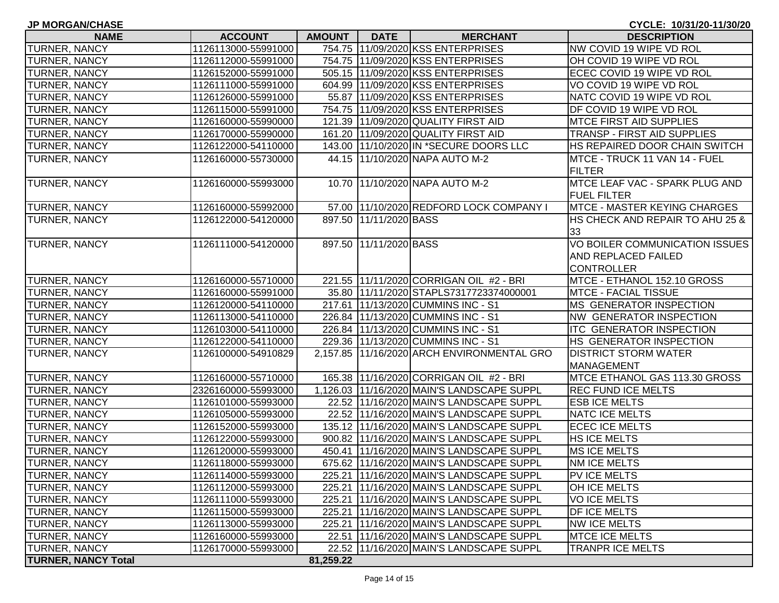| <b>JP MORGAN/CHASE</b>     | CYCLE: 10/31/20-11/30/20 |               |                        |                                              |                                                              |
|----------------------------|--------------------------|---------------|------------------------|----------------------------------------------|--------------------------------------------------------------|
| <b>NAME</b>                | <b>ACCOUNT</b>           | <b>AMOUNT</b> | <b>DATE</b>            | <b>MERCHANT</b>                              | <b>DESCRIPTION</b>                                           |
| <b>TURNER, NANCY</b>       | 1126113000-55991000      |               |                        | 754.75 11/09/2020 KSS ENTERPRISES            | NW COVID 19 WIPE VD ROL                                      |
| <b>TURNER, NANCY</b>       | 1126112000-55991000      |               |                        | 754.75 11/09/2020 KSS ENTERPRISES            | OH COVID 19 WIPE VD ROL                                      |
| <b>TURNER, NANCY</b>       | 1126152000-55991000      |               |                        | 505.15 11/09/2020 KSS ENTERPRISES            | ECEC COVID 19 WIPE VD ROL                                    |
| <b>TURNER, NANCY</b>       | 1126111000-55991000      |               |                        | 604.99 11/09/2020 KSS ENTERPRISES            | VO COVID 19 WIPE VD ROL                                      |
| <b>TURNER, NANCY</b>       | 1126126000-55991000      |               |                        | 55.87 11/09/2020 KSS ENTERPRISES             | NATC COVID 19 WIPE VD ROL                                    |
| <b>TURNER, NANCY</b>       | 1126115000-55991000      |               |                        | 754.75 11/09/2020 KSS ENTERPRISES            | DF COVID 19 WIPE VD ROL                                      |
| <b>TURNER, NANCY</b>       | 1126160000-55990000      |               |                        | 121.39 11/09/2020 QUALITY FIRST AID          | <b>MTCE FIRST AID SUPPLIES</b>                               |
| <b>TURNER, NANCY</b>       | 1126170000-55990000      |               |                        | 161.20 11/09/2020 QUALITY FIRST AID          | TRANSP - FIRST AID SUPPLIES                                  |
| <b>TURNER, NANCY</b>       | 1126122000-54110000      |               |                        | 143.00 11/10/2020 IN *SECURE DOORS LLC       | HS REPAIRED DOOR CHAIN SWITCH                                |
| <b>TURNER, NANCY</b>       | 1126160000-55730000      |               |                        | 44.15 11/10/2020 NAPA AUTO M-2               | MTCE - TRUCK 11 VAN 14 - FUEL<br><b>FILTER</b>               |
| <b>TURNER, NANCY</b>       | 1126160000-55993000      |               |                        | 10.70 11/10/2020 NAPA AUTO M-2               | MTCE LEAF VAC - SPARK PLUG AND<br><b>FUEL FILTER</b>         |
| <b>TURNER, NANCY</b>       | 1126160000-55992000      |               |                        | 57.00 11/10/2020 REDFORD LOCK COMPANY I      | MTCE - MASTER KEYING CHARGES                                 |
| TURNER, NANCY              | 1126122000-54120000      |               | 897.50 11/11/2020 BASS |                                              | HS CHECK AND REPAIR TO AHU 25 &                              |
|                            |                          |               |                        |                                              | 33                                                           |
| <b>TURNER, NANCY</b>       | 1126111000-54120000      |               | 897.50 11/11/2020 BASS |                                              | VO BOILER COMMUNICATION ISSUES<br><b>AND REPLACED FAILED</b> |
|                            |                          |               |                        |                                              | <b>CONTROLLER</b>                                            |
| <b>TURNER, NANCY</b>       | 1126160000-55710000      |               |                        | 221.55 11/11/2020 CORRIGAN OIL #2 - BRI      | MTCE - ETHANOL 152.10 GROSS                                  |
| <b>TURNER, NANCY</b>       | 1126160000-55991000      |               |                        | 35.80 11/11/2020 STAPLS7317723374000001      | <b>MTCE - FACIAL TISSUE</b>                                  |
| <b>TURNER, NANCY</b>       | 1126120000-54110000      |               |                        | 217.61 11/13/2020 CUMMINS INC - S1           | MS GENERATOR INSPECTION                                      |
| <b>TURNER, NANCY</b>       | 1126113000-54110000      |               |                        | 226.84 11/13/2020 CUMMINS INC - S1           | NW GENERATOR INSPECTION                                      |
| <b>TURNER, NANCY</b>       | 1126103000-54110000      |               |                        | 226.84 11/13/2020 CUMMINS INC - S1           | ITC GENERATOR INSPECTION                                     |
| <b>TURNER, NANCY</b>       | 1126122000-54110000      |               |                        | 229.36 11/13/2020 CUMMINS INC - S1           | HS GENERATOR INSPECTION                                      |
| <b>TURNER, NANCY</b>       | 1126100000-54910829      |               |                        | 2,157.85 11/16/2020 ARCH ENVIRONMENTAL GRO   | <b>DISTRICT STORM WATER</b>                                  |
|                            |                          |               |                        |                                              | <b>MANAGEMENT</b>                                            |
| <b>TURNER, NANCY</b>       | 1126160000-55710000      |               |                        | 165.38 11/16/2020 CORRIGAN OIL #2 - BRI      | MTCE ETHANOL GAS 113.30 GROSS                                |
| <b>TURNER, NANCY</b>       | 2326160000-55993000      |               |                        | 1,126.03 11/16/2020 MAIN'S LANDSCAPE SUPPL   | <b>REC FUND ICE MELTS</b>                                    |
| <b>TURNER, NANCY</b>       | 1126101000-55993000      |               |                        | 22.52 11/16/2020 MAIN'S LANDSCAPE SUPPL      | <b>ESB ICE MELTS</b>                                         |
| <b>TURNER, NANCY</b>       | 1126105000-55993000      |               |                        | 22.52 11/16/2020 MAIN'S LANDSCAPE SUPPL      | <b>NATC ICE MELTS</b>                                        |
| <b>TURNER, NANCY</b>       | 1126152000-55993000      |               |                        | 135.12 11/16/2020 MAIN'S LANDSCAPE SUPPL     | <b>ECEC ICE MELTS</b>                                        |
| TURNER, NANCY              | 1126122000-55993000      |               |                        | 900.82 11/16/2020 MAIN'S LANDSCAPE SUPPL     | <b>HS ICE MELTS</b>                                          |
| <b>TURNER, NANCY</b>       | 1126120000-55993000      |               |                        | 450.41 11/16/2020 MAIN'S LANDSCAPE SUPPL     | <b>MS ICE MELTS</b>                                          |
| <b>TURNER, NANCY</b>       | 1126118000-55993000      |               |                        | 675.62 11/16/2020 MAIN'S LANDSCAPE SUPPL     | NM ICE MELTS                                                 |
| <b>TURNER, NANCY</b>       | 1126114000-55993000      |               |                        | 225.21   11/16/2020   MAIN'S LANDSCAPE SUPPL | PV ICE MELTS                                                 |
| <b>TURNER, NANCY</b>       | 1126112000-55993000      |               |                        | 225.21 11/16/2020 MAIN'S LANDSCAPE SUPPL     | OH ICE MELTS                                                 |
| <b>TURNER, NANCY</b>       | 1126111000-55993000      |               |                        | 225.21 11/16/2020 MAIN'S LANDSCAPE SUPPL     | <b>VOICE MELTS</b>                                           |
| <b>TURNER, NANCY</b>       | 1126115000-55993000      |               |                        | 225.21 11/16/2020 MAIN'S LANDSCAPE SUPPL     | DF ICE MELTS                                                 |
| <b>TURNER, NANCY</b>       | 1126113000-55993000      |               |                        | 225.21 11/16/2020 MAIN'S LANDSCAPE SUPPL     | <b>NW ICE MELTS</b>                                          |
| <b>TURNER, NANCY</b>       | 1126160000-55993000      |               |                        | 22.51 11/16/2020 MAIN'S LANDSCAPE SUPPL      | <b>MTCE ICE MELTS</b>                                        |
| <b>TURNER, NANCY</b>       | 1126170000-55993000      |               |                        | 22.52 11/16/2020 MAIN'S LANDSCAPE SUPPL      | <b>TRANPR ICE MELTS</b>                                      |
| <b>TURNER, NANCY Total</b> |                          | 81,259.22     |                        |                                              |                                                              |